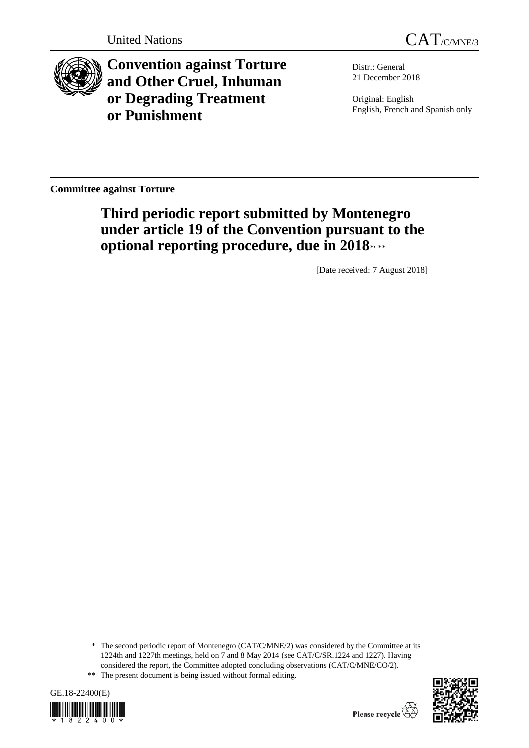

**Convention against Torture and Other Cruel, Inhuman or Degrading Treatment or Punishment**

Distr.: General 21 December 2018

Original: English English, French and Spanish only

**Committee against Torture**

# **Third periodic report submitted by Montenegro under article 19 of the Convention pursuant to the**  optional reporting procedure, due in 2018 \*\*\*

[Date received: 7 August 2018]

<sup>\*\*</sup> The present document is being issued without formal editing.





<sup>\*</sup> The second periodic report of Montenegro (CAT/C/MNE/2) was considered by the Committee at its 1224th and 1227th meetings, held on 7 and 8 May 2014 (see CAT/C/SR.1224 and 1227). Having considered the report, the Committee adopted concluding observations (CAT/C/MNE/CO/2).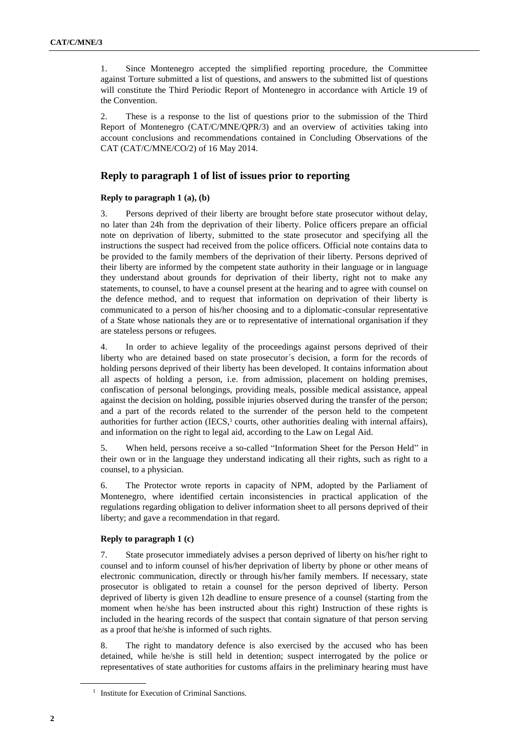1. Since Montenegro accepted the simplified reporting procedure, the Committee against Torture submitted a list of questions, and answers to the submitted list of questions will constitute the Third Periodic Report of Montenegro in accordance with Article 19 of the Convention.

2. These is a response to the list of questions prior to the submission of the Third Report of Montenegro (CAT/C/MNE/QPR/3) and an overview of activities taking into account conclusions and recommendations contained in Concluding Observations of the CAT (CAT/C/MNE/CO/2) of 16 May 2014.

# **Reply to paragraph 1 of list of issues prior to reporting**

# **Reply to paragraph 1 (a), (b)**

3. Persons deprived of their liberty are brought before state prosecutor without delay, no later than 24h from the deprivation of their liberty. Police officers prepare an official note on deprivation of liberty, submitted to the state prosecutor and specifying all the instructions the suspect had received from the police officers. Official note contains data to be provided to the family members of the deprivation of their liberty. Persons deprived of their liberty are informed by the competent state authority in their language or in language they understand about grounds for deprivation of their liberty, right not to make any statements, to counsel, to have a counsel present at the hearing and to agree with counsel on the defence method, and to request that information on deprivation of their liberty is communicated to a person of his/her choosing and to a diplomatic-consular representative of a State whose nationals they are or to representative of international organisation if they are stateless persons or refugees.

4. In order to achieve legality of the proceedings against persons deprived of their liberty who are detained based on state prosecutor´s decision, a form for the records of holding persons deprived of their liberty has been developed. It contains information about all aspects of holding a person, i.e. from admission, placement on holding premises, confiscation of personal belongings, providing meals, possible medical assistance, appeal against the decision on holding, possible injuries observed during the transfer of the person; and a part of the records related to the surrender of the person held to the competent authorities for further action (IECS, $1$  courts, other authorities dealing with internal affairs), and information on the right to legal aid, according to the Law on Legal Aid.

5. When held, persons receive a so-called "Information Sheet for the Person Held" in their own or in the language they understand indicating all their rights, such as right to a counsel, to a physician.

6. The Protector wrote reports in capacity of NPM, adopted by the Parliament of Montenegro, where identified certain inconsistencies in practical application of the regulations regarding obligation to deliver information sheet to all persons deprived of their liberty; and gave a recommendation in that regard.

# **Reply to paragraph 1 (c)**

7. State prosecutor immediately advises a person deprived of liberty on his/her right to counsel and to inform counsel of his/her deprivation of liberty by phone or other means of electronic communication, directly or through his/her family members. If necessary, state prosecutor is obligated to retain a counsel for the person deprived of liberty. Person deprived of liberty is given 12h deadline to ensure presence of a counsel (starting from the moment when he/she has been instructed about this right) Instruction of these rights is included in the hearing records of the suspect that contain signature of that person serving as a proof that he/she is informed of such rights.

8. The right to mandatory defence is also exercised by the accused who has been detained, while he/she is still held in detention; suspect interrogated by the police or representatives of state authorities for customs affairs in the preliminary hearing must have

<sup>&</sup>lt;sup>1</sup> Institute for Execution of Criminal Sanctions.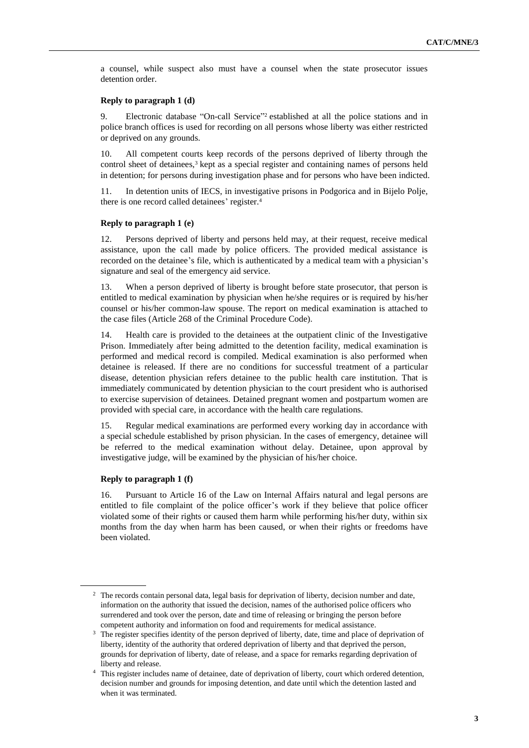a counsel, while suspect also must have a counsel when the state prosecutor issues detention order.

#### **Reply to paragraph 1 (d)**

9. Electronic database "On-call Service" <sup>2</sup> established at all the police stations and in police branch offices is used for recording on all persons whose liberty was either restricted or deprived on any grounds.

10. All competent courts keep records of the persons deprived of liberty through the control sheet of detainees,<sup>3</sup> kept as a special register and containing names of persons held in detention; for persons during investigation phase and for persons who have been indicted.

11. In detention units of IECS, in investigative prisons in Podgorica and in Bijelo Polje, there is one record called detainees' register.<sup>4</sup>

#### **Reply to paragraph 1 (e)**

12. Persons deprived of liberty and persons held may, at their request, receive medical assistance, upon the call made by police officers. The provided medical assistance is recorded on the detainee's file, which is authenticated by a medical team with a physician's signature and seal of the emergency aid service.

13. When a person deprived of liberty is brought before state prosecutor, that person is entitled to medical examination by physician when he/she requires or is required by his/her counsel or his/her common-law spouse. The report on medical examination is attached to the case files (Article 268 of the Criminal Procedure Code).

14. Health care is provided to the detainees at the outpatient clinic of the Investigative Prison. Immediately after being admitted to the detention facility, medical examination is performed and medical record is compiled. Medical examination is also performed when detainee is released. If there are no conditions for successful treatment of a particular disease, detention physician refers detainee to the public health care institution. That is immediately communicated by detention physician to the court president who is authorised to exercise supervision of detainees. Detained pregnant women and postpartum women are provided with special care, in accordance with the health care regulations.

15. Regular medical examinations are performed every working day in accordance with a special schedule established by prison physician. In the cases of emergency, detainee will be referred to the medical examination without delay. Detainee, upon approval by investigative judge, will be examined by the physician of his/her choice.

#### **Reply to paragraph 1 (f)**

16. Pursuant to Article 16 of the Law on Internal Affairs natural and legal persons are entitled to file complaint of the police officer's work if they believe that police officer violated some of their rights or caused them harm while performing his/her duty, within six months from the day when harm has been caused, or when their rights or freedoms have been violated.

<sup>&</sup>lt;sup>2</sup> The records contain personal data, legal basis for deprivation of liberty, decision number and date, information on the authority that issued the decision, names of the authorised police officers who surrendered and took over the person, date and time of releasing or bringing the person before competent authority and information on food and requirements for medical assistance.

<sup>&</sup>lt;sup>3</sup> The register specifies identity of the person deprived of liberty, date, time and place of deprivation of liberty, identity of the authority that ordered deprivation of liberty and that deprived the person, grounds for deprivation of liberty, date of release, and a space for remarks regarding deprivation of liberty and release.

<sup>&</sup>lt;sup>4</sup> This register includes name of detainee, date of deprivation of liberty, court which ordered detention, decision number and grounds for imposing detention, and date until which the detention lasted and when it was terminated.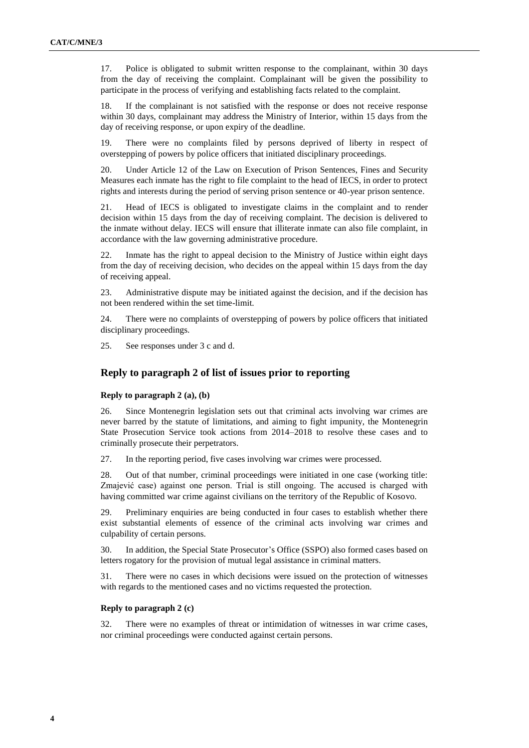17. Police is obligated to submit written response to the complainant, within 30 days from the day of receiving the complaint. Complainant will be given the possibility to participate in the process of verifying and establishing facts related to the complaint.

18. If the complainant is not satisfied with the response or does not receive response within 30 days, complainant may address the Ministry of Interior, within 15 days from the day of receiving response, or upon expiry of the deadline.

19. There were no complaints filed by persons deprived of liberty in respect of overstepping of powers by police officers that initiated disciplinary proceedings.

20. Under Article 12 of the Law on Execution of Prison Sentences, Fines and Security Measures each inmate has the right to file complaint to the head of IECS, in order to protect rights and interests during the period of serving prison sentence or 40-year prison sentence.

21. Head of IECS is obligated to investigate claims in the complaint and to render decision within 15 days from the day of receiving complaint. The decision is delivered to the inmate without delay. IECS will ensure that illiterate inmate can also file complaint, in accordance with the law governing administrative procedure.

22. Inmate has the right to appeal decision to the Ministry of Justice within eight days from the day of receiving decision, who decides on the appeal within 15 days from the day of receiving appeal.

23. Administrative dispute may be initiated against the decision, and if the decision has not been rendered within the set time-limit.

24. There were no complaints of overstepping of powers by police officers that initiated disciplinary proceedings.

25. See responses under 3 c and d.

# **Reply to paragraph 2 of list of issues prior to reporting**

#### **Reply to paragraph 2 (a), (b)**

26. Since Montenegrin legislation sets out that criminal acts involving war crimes are never barred by the statute of limitations, and aiming to fight impunity, the Montenegrin State Prosecution Service took actions from 2014–2018 to resolve these cases and to criminally prosecute their perpetrators.

27. In the reporting period, five cases involving war crimes were processed.

28. Out of that number, criminal proceedings were initiated in one case (working title: Zmajević case) against one person. Trial is still ongoing. The accused is charged with having committed war crime against civilians on the territory of the Republic of Kosovo.

29. Preliminary enquiries are being conducted in four cases to establish whether there exist substantial elements of essence of the criminal acts involving war crimes and culpability of certain persons.

30. In addition, the Special State Prosecutor's Office (SSPO) also formed cases based on letters rogatory for the provision of mutual legal assistance in criminal matters.

31. There were no cases in which decisions were issued on the protection of witnesses with regards to the mentioned cases and no victims requested the protection.

### **Reply to paragraph 2 (c)**

32. There were no examples of threat or intimidation of witnesses in war crime cases, nor criminal proceedings were conducted against certain persons.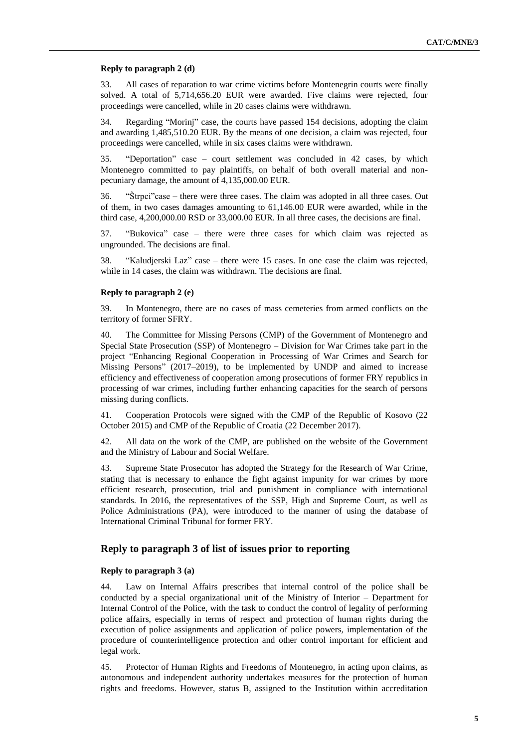#### **Reply to paragraph 2 (d)**

33. All cases of reparation to war crime victims before Montenegrin courts were finally solved. A total of 5,714,656.20 EUR were awarded. Five claims were rejected, four proceedings were cancelled, while in 20 cases claims were withdrawn.

34. Regarding "Morinj" case, the courts have passed 154 decisions, adopting the claim and awarding 1,485,510.20 EUR. By the means of one decision, a claim was rejected, four proceedings were cancelled, while in six cases claims were withdrawn.

35. "Deportation" case – court settlement was concluded in 42 cases, by which Montenegro committed to pay plaintiffs, on behalf of both overall material and nonpecuniary damage, the amount of 4,135,000.00 EUR.

36. "Štrpci"case – there were three cases. The claim was adopted in all three cases. Out of them, in two cases damages amounting to 61,146.00 EUR were awarded, while in the third case, 4,200,000.00 RSD or 33,000.00 EUR. In all three cases, the decisions are final.

37. "Bukovica" case – there were three cases for which claim was rejected as ungrounded. The decisions are final.

38. "Kaludjerski Laz" case – there were 15 cases. In one case the claim was rejected, while in 14 cases, the claim was withdrawn. The decisions are final.

#### **Reply to paragraph 2 (e)**

39. In Montenegro, there are no cases of mass cemeteries from armed conflicts on the territory of former SFRY.

40. The Committee for Missing Persons (CMP) of the Government of Montenegro and Special State Prosecution (SSP) of Montenegro – Division for War Crimes take part in the project "Enhancing Regional Cooperation in Processing of War Crimes and Search for Missing Persons" (2017–2019), to be implemented by UNDP and aimed to increase efficiency and effectiveness of cooperation among prosecutions of former FRY republics in processing of war crimes, including further enhancing capacities for the search of persons missing during conflicts.

41. Cooperation Protocols were signed with the CMP of the Republic of Kosovo (22 October 2015) and CMP of the Republic of Croatia (22 December 2017).

42. All data on the work of the CMP, are published on the website of the Government and the Ministry of Labour and Social Welfare.

43. Supreme State Prosecutor has adopted the Strategy for the Research of War Crime, stating that is necessary to enhance the fight against impunity for war crimes by more efficient research, prosecution, trial and punishment in compliance with international standards. In 2016, the representatives of the SSP, High and Supreme Court, as well as Police Administrations (PA), were introduced to the manner of using the database of International Criminal Tribunal for former FRY.

# **Reply to paragraph 3 of list of issues prior to reporting**

## **Reply to paragraph 3 (a)**

44. Law on Internal Affairs prescribes that internal control of the police shall be conducted by a special organizational unit of the Ministry of Interior – Department for Internal Control of the Police, with the task to conduct the control of legality of performing police affairs, especially in terms of respect and protection of human rights during the execution of police assignments and application of police powers, implementation of the procedure of counterintelligence protection and other control important for efficient and legal work.

45. Protector of Human Rights and Freedoms of Montenegro, in acting upon claims, as autonomous and independent authority undertakes measures for the protection of human rights and freedoms. However, status B, assigned to the Institution within accreditation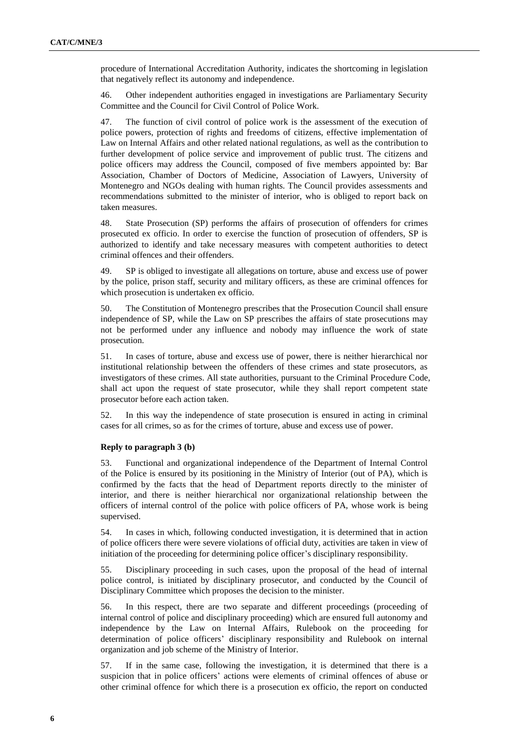procedure of International Accreditation Authority, indicates the shortcoming in legislation that negatively reflect its autonomy and independence.

46. Other independent authorities engaged in investigations are Parliamentary Security Committee and the Council for Civil Control of Police Work.

47. The function of civil control of police work is the assessment of the execution of police powers, protection of rights and freedoms of citizens, effective implementation of Law on Internal Affairs and other related national regulations, as well as the contribution to further development of police service and improvement of public trust. The citizens and police officers may address the Council, composed of five members appointed by: Bar Association, Chamber of Doctors of Medicine, Association of Lawyers, University of Montenegro and NGOs dealing with human rights. The Council provides assessments and recommendations submitted to the minister of interior, who is obliged to report back on taken measures.

48. State Prosecution (SP) performs the affairs of prosecution of offenders for crimes prosecuted ex officio. In order to exercise the function of prosecution of offenders, SP is authorized to identify and take necessary measures with competent authorities to detect criminal offences and their offenders.

49. SP is obliged to investigate all allegations on torture, abuse and excess use of power by the police, prison staff, security and military officers, as these are criminal offences for which prosecution is undertaken ex officio.

50. The Constitution of Montenegro prescribes that the Prosecution Council shall ensure independence of SP, while the Law on SP prescribes the affairs of state prosecutions may not be performed under any influence and nobody may influence the work of state prosecution.

51. In cases of torture, abuse and excess use of power, there is neither hierarchical nor institutional relationship between the offenders of these crimes and state prosecutors, as investigators of these crimes. All state authorities, pursuant to the Criminal Procedure Code, shall act upon the request of state prosecutor, while they shall report competent state prosecutor before each action taken.

52. In this way the independence of state prosecution is ensured in acting in criminal cases for all crimes, so as for the crimes of torture, abuse and excess use of power.

## **Reply to paragraph 3 (b)**

53. Functional and organizational independence of the Department of Internal Control of the Police is ensured by its positioning in the Ministry of Interior (out of PA), which is confirmed by the facts that the head of Department reports directly to the minister of interior, and there is neither hierarchical nor organizational relationship between the officers of internal control of the police with police officers of PA, whose work is being supervised.

54. In cases in which, following conducted investigation, it is determined that in action of police officers there were severe violations of official duty, activities are taken in view of initiation of the proceeding for determining police officer's disciplinary responsibility.

55. Disciplinary proceeding in such cases, upon the proposal of the head of internal police control, is initiated by disciplinary prosecutor, and conducted by the Council of Disciplinary Committee which proposes the decision to the minister.

56. In this respect, there are two separate and different proceedings (proceeding of internal control of police and disciplinary proceeding) which are ensured full autonomy and independence by the Law on Internal Affairs, Rulebook on the proceeding for determination of police officers' disciplinary responsibility and Rulebook on internal organization and job scheme of the Ministry of Interior.

57. If in the same case, following the investigation, it is determined that there is a suspicion that in police officers' actions were elements of criminal offences of abuse or other criminal offence for which there is a prosecution ex officio, the report on conducted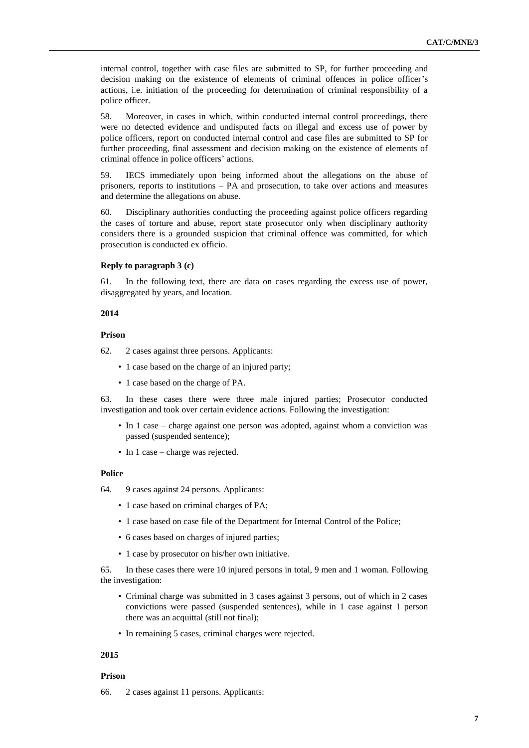internal control, together with case files are submitted to SP, for further proceeding and decision making on the existence of elements of criminal offences in police officer's actions, i.e. initiation of the proceeding for determination of criminal responsibility of a police officer.

58. Moreover, in cases in which, within conducted internal control proceedings, there were no detected evidence and undisputed facts on illegal and excess use of power by police officers, report on conducted internal control and case files are submitted to SP for further proceeding, final assessment and decision making on the existence of elements of criminal offence in police officers' actions.

59. IECS immediately upon being informed about the allegations on the abuse of prisoners, reports to institutions – PA and prosecution, to take over actions and measures and determine the allegations on abuse.

60. Disciplinary authorities conducting the proceeding against police officers regarding the cases of torture and abuse, report state prosecutor only when disciplinary authority considers there is a grounded suspicion that criminal offence was committed, for which prosecution is conducted ex officio.

#### **Reply to paragraph 3 (c)**

61. In the following text, there are data on cases regarding the excess use of power, disaggregated by years, and location.

### **2014**

### **Prison**

62. 2 cases against three persons. Applicants:

- 1 case based on the charge of an injured party;
- 1 case based on the charge of PA.

63. In these cases there were three male injured parties; Prosecutor conducted investigation and took over certain evidence actions. Following the investigation:

- In 1 case charge against one person was adopted, against whom a conviction was passed (suspended sentence);
- In 1 case charge was rejected.

#### **Police**

64. 9 cases against 24 persons. Applicants:

- 1 case based on criminal charges of PA;
- 1 case based on case file of the Department for Internal Control of the Police;
- 6 cases based on charges of injured parties;
- 1 case by prosecutor on his/her own initiative.

65. In these cases there were 10 injured persons in total, 9 men and 1 woman. Following the investigation:

- Criminal charge was submitted in 3 cases against 3 persons, out of which in 2 cases convictions were passed (suspended sentences), while in 1 case against 1 person there was an acquittal (still not final);
- In remaining 5 cases, criminal charges were rejected.

#### **2015**

### **Prison**

66. 2 cases against 11 persons. Applicants: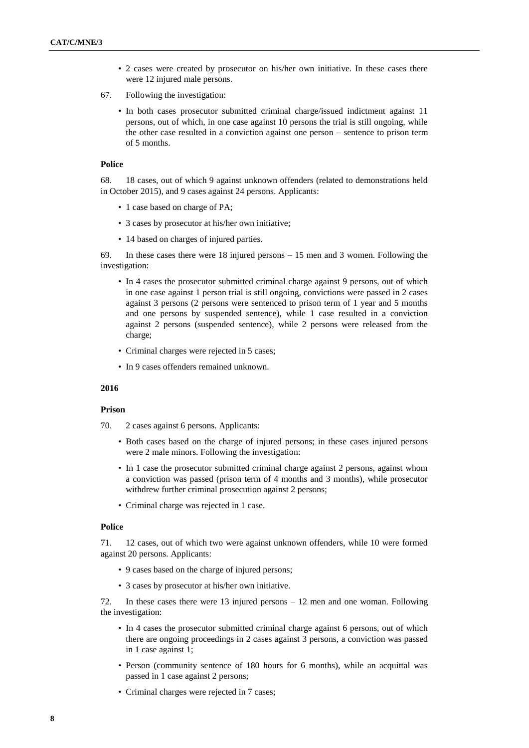- 2 cases were created by prosecutor on his/her own initiative. In these cases there were 12 injured male persons.
- 67. Following the investigation:
	- In both cases prosecutor submitted criminal charge/issued indictment against 11 persons, out of which, in one case against 10 persons the trial is still ongoing, while the other case resulted in a conviction against one person – sentence to prison term of 5 months.

#### **Police**

68. 18 cases, out of which 9 against unknown offenders (related to demonstrations held in October 2015), and 9 cases against 24 persons. Applicants:

- 1 case based on charge of PA;
- 3 cases by prosecutor at his/her own initiative;
- 14 based on charges of injured parties.

69. In these cases there were 18 injured persons – 15 men and 3 women. Following the investigation:

- In 4 cases the prosecutor submitted criminal charge against 9 persons, out of which in one case against 1 person trial is still ongoing, convictions were passed in 2 cases against 3 persons (2 persons were sentenced to prison term of 1 year and 5 months and one persons by suspended sentence), while 1 case resulted in a conviction against 2 persons (suspended sentence), while 2 persons were released from the charge;
- Criminal charges were rejected in 5 cases;
- In 9 cases offenders remained unknown.

#### **2016**

#### **Prison**

70. 2 cases against 6 persons. Applicants:

- Both cases based on the charge of injured persons; in these cases injured persons were 2 male minors. Following the investigation:
- In 1 case the prosecutor submitted criminal charge against 2 persons, against whom a conviction was passed (prison term of 4 months and 3 months), while prosecutor withdrew further criminal prosecution against 2 persons;
- Criminal charge was rejected in 1 case.

#### **Police**

71. 12 cases, out of which two were against unknown offenders, while 10 were formed against 20 persons. Applicants:

- 9 cases based on the charge of injured persons;
- 3 cases by prosecutor at his/her own initiative.

72. In these cases there were 13 injured persons – 12 men and one woman. Following the investigation:

- In 4 cases the prosecutor submitted criminal charge against 6 persons, out of which there are ongoing proceedings in 2 cases against 3 persons, a conviction was passed in 1 case against 1;
- Person (community sentence of 180 hours for 6 months), while an acquittal was passed in 1 case against 2 persons;
- Criminal charges were rejected in 7 cases;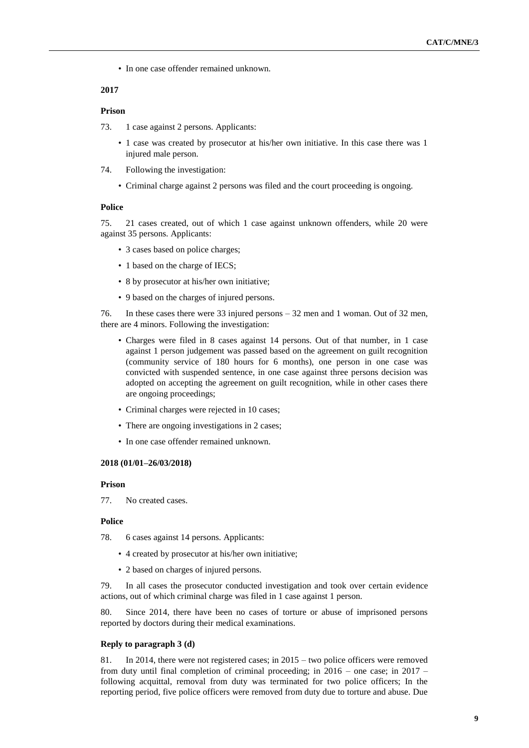• In one case offender remained unknown.

#### **2017**

#### **Prison**

- 73. 1 case against 2 persons. Applicants:
	- 1 case was created by prosecutor at his/her own initiative. In this case there was 1 injured male person.
- 74. Following the investigation:
	- Criminal charge against 2 persons was filed and the court proceeding is ongoing.

#### **Police**

75. 21 cases created, out of which 1 case against unknown offenders, while 20 were against 35 persons. Applicants:

- 3 cases based on police charges;
- 1 based on the charge of IECS;
- 8 by prosecutor at his/her own initiative;
- 9 based on the charges of injured persons.

76. In these cases there were 33 injured persons – 32 men and 1 woman. Out of 32 men, there are 4 minors. Following the investigation:

- Charges were filed in 8 cases against 14 persons. Out of that number, in 1 case against 1 person judgement was passed based on the agreement on guilt recognition (community service of 180 hours for 6 months), one person in one case was convicted with suspended sentence, in one case against three persons decision was adopted on accepting the agreement on guilt recognition, while in other cases there are ongoing proceedings;
- Criminal charges were rejected in 10 cases;
- There are ongoing investigations in 2 cases;
- In one case offender remained unknown.

#### **2018 (01/01–26/03/2018)**

## **Prison**

77. No created cases.

### **Police**

78. 6 cases against 14 persons. Applicants:

- 4 created by prosecutor at his/her own initiative;
- 2 based on charges of injured persons.

79. In all cases the prosecutor conducted investigation and took over certain evidence actions, out of which criminal charge was filed in 1 case against 1 person.

80. Since 2014, there have been no cases of torture or abuse of imprisoned persons reported by doctors during their medical examinations.

#### **Reply to paragraph 3 (d)**

81. In 2014, there were not registered cases; in 2015 – two police officers were removed from duty until final completion of criminal proceeding; in 2016 – one case; in 2017 – following acquittal, removal from duty was terminated for two police officers; In the reporting period, five police officers were removed from duty due to torture and abuse. Due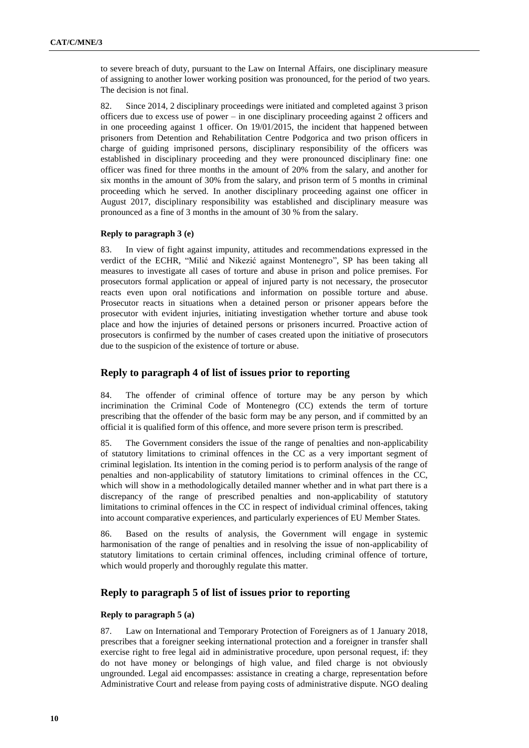to severe breach of duty, pursuant to the Law on Internal Affairs, one disciplinary measure of assigning to another lower working position was pronounced, for the period of two years. The decision is not final.

82. Since 2014, 2 disciplinary proceedings were initiated and completed against 3 prison officers due to excess use of power – in one disciplinary proceeding against 2 officers and in one proceeding against 1 officer. On 19/01/2015, the incident that happened between prisoners from Detention and Rehabilitation Centre Podgorica and two prison officers in charge of guiding imprisoned persons, disciplinary responsibility of the officers was established in disciplinary proceeding and they were pronounced disciplinary fine: one officer was fined for three months in the amount of 20% from the salary, and another for six months in the amount of 30% from the salary, and prison term of 5 months in criminal proceeding which he served. In another disciplinary proceeding against one officer in August 2017, disciplinary responsibility was established and disciplinary measure was pronounced as a fine of 3 months in the amount of 30 % from the salary.

#### **Reply to paragraph 3 (e)**

83. In view of fight against impunity, attitudes and recommendations expressed in the verdict of the ECHR, "Milić and Nikezić against Montenegro", SP has been taking all measures to investigate all cases of torture and abuse in prison and police premises. For prosecutors formal application or appeal of injured party is not necessary, the prosecutor reacts even upon oral notifications and information on possible torture and abuse. Prosecutor reacts in situations when a detained person or prisoner appears before the prosecutor with evident injuries, initiating investigation whether torture and abuse took place and how the injuries of detained persons or prisoners incurred. Proactive action of prosecutors is confirmed by the number of cases created upon the initiative of prosecutors due to the suspicion of the existence of torture or abuse.

# **Reply to paragraph 4 of list of issues prior to reporting**

84. The offender of criminal offence of torture may be any person by which incrimination the Criminal Code of Montenegro (CC) extends the term of torture prescribing that the offender of the basic form may be any person, and if committed by an official it is qualified form of this offence, and more severe prison term is prescribed.

85. The Government considers the issue of the range of penalties and non-applicability of statutory limitations to criminal offences in the CC as a very important segment of criminal legislation. Its intention in the coming period is to perform analysis of the range of penalties and non-applicability of statutory limitations to criminal offences in the CC, which will show in a methodologically detailed manner whether and in what part there is a discrepancy of the range of prescribed penalties and non-applicability of statutory limitations to criminal offences in the CC in respect of individual criminal offences, taking into account comparative experiences, and particularly experiences of EU Member States.

86. Based on the results of analysis, the Government will engage in systemic harmonisation of the range of penalties and in resolving the issue of non-applicability of statutory limitations to certain criminal offences, including criminal offence of torture, which would properly and thoroughly regulate this matter.

### **Reply to paragraph 5 of list of issues prior to reporting**

#### **Reply to paragraph 5 (a)**

87. Law on International and Temporary Protection of Foreigners as of 1 January 2018, prescribes that a foreigner seeking international protection and a foreigner in transfer shall exercise right to free legal aid in administrative procedure, upon personal request, if: they do not have money or belongings of high value, and filed charge is not obviously ungrounded. Legal aid encompasses: assistance in creating a charge, representation before Administrative Court and release from paying costs of administrative dispute. NGO dealing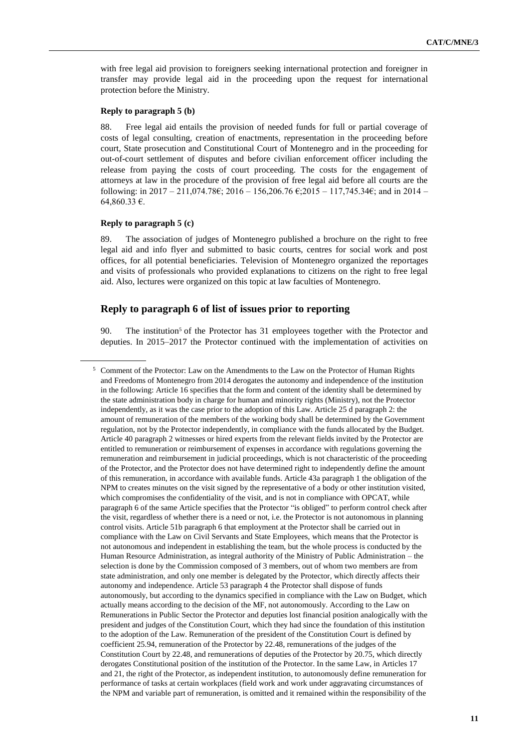with free legal aid provision to foreigners seeking international protection and foreigner in transfer may provide legal aid in the proceeding upon the request for international protection before the Ministry.

#### **Reply to paragraph 5 (b)**

88. Free legal aid entails the provision of needed funds for full or partial coverage of costs of legal consulting, creation of enactments, representation in the proceeding before court, State prosecution and Constitutional Court of Montenegro and in the proceeding for out-of-court settlement of disputes and before civilian enforcement officer including the release from paying the costs of court proceeding. The costs for the engagement of attorneys at law in the procedure of the provision of free legal aid before all courts are the following: in  $2017 - 211,074.786$ ;  $2016 - 156,206.76$   $6:2015 - 117,745.346$ ; and in  $2014 64,860.33$  €.

#### **Reply to paragraph 5 (c)**

89. The association of judges of Montenegro published a brochure on the right to free legal aid and info flyer and submitted to basic courts, centres for social work and post offices, for all potential beneficiaries. Television of Montenegro organized the reportages and visits of professionals who provided explanations to citizens on the right to free legal aid. Also, lectures were organized on this topic at law faculties of Montenegro.

# **Reply to paragraph 6 of list of issues prior to reporting**

90. The institution<sup>5</sup> of the Protector has 31 employees together with the Protector and deputies. In 2015–2017 the Protector continued with the implementation of activities on

<sup>5</sup> Comment of the Protector: Law on the Amendments to the Law on the Protector of Human Rights and Freedoms of Montenegro from 2014 derogates the autonomy and independence of the institution in the following: Article 16 specifies that the form and content of the identity shall be determined by the state administration body in charge for human and minority rights (Ministry), not the Protector independently, as it was the case prior to the adoption of this Law. Article 25 d paragraph 2: the amount of remuneration of the members of the working body shall be determined by the Government regulation, not by the Protector independently, in compliance with the funds allocated by the Budget. Article 40 paragraph 2 witnesses or hired experts from the relevant fields invited by the Protector are entitled to remuneration or reimbursement of expenses in accordance with regulations governing the remuneration and reimbursement in judicial proceedings, which is not characteristic of the proceeding of the Protector, and the Protector does not have determined right to independently define the amount of this remuneration, in accordance with available funds. Article 43a paragraph 1 the obligation of the NPM to creates minutes on the visit signed by the representative of a body or other institution visited, which compromises the confidentiality of the visit, and is not in compliance with OPCAT, while paragraph 6 of the same Article specifies that the Protector "is obliged" to perform control check after the visit, regardless of whether there is a need or not, i.e. the Protector is not autonomous in planning control visits. Article 51b paragraph 6 that employment at the Protector shall be carried out in compliance with the Law on Civil Servants and State Employees, which means that the Protector is not autonomous and independent in establishing the team, but the whole process is conducted by the Human Resource Administration, as integral authority of the Ministry of Public Administration – the selection is done by the Commission composed of 3 members, out of whom two members are from state administration, and only one member is delegated by the Protector, which directly affects their autonomy and independence. Article 53 paragraph 4 the Protector shall dispose of funds autonomously, but according to the dynamics specified in compliance with the Law on Budget, which actually means according to the decision of the MF, not autonomously. According to the Law on Remunerations in Public Sector the Protector and deputies lost financial position analogically with the president and judges of the Constitution Court, which they had since the foundation of this institution to the adoption of the Law. Remuneration of the president of the Constitution Court is defined by coefficient 25.94, remuneration of the Protector by 22.48, remunerations of the judges of the Constitution Court by 22.48, and remunerations of deputies of the Protector by 20.75, which directly derogates Constitutional position of the institution of the Protector. In the same Law, in Articles 17 and 21, the right of the Protector, as independent institution, to autonomously define remuneration for performance of tasks at certain workplaces (field work and work under aggravating circumstances of the NPM and variable part of remuneration, is omitted and it remained within the responsibility of the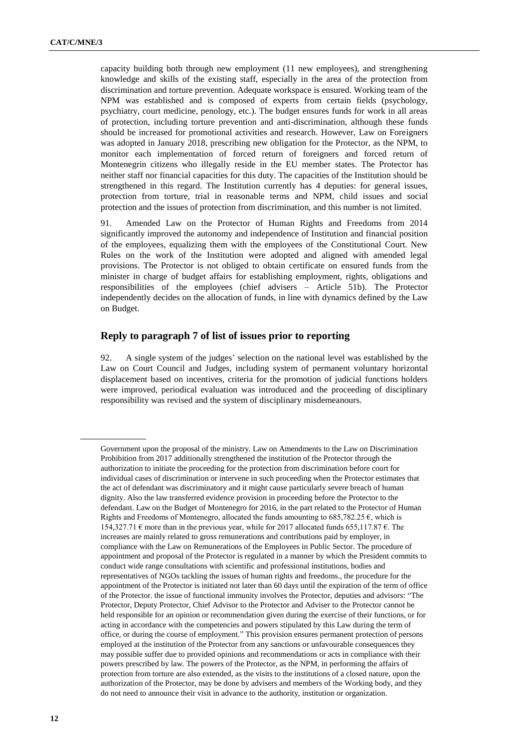capacity building both through new employment (11 new employees), and strengthening knowledge and skills of the existing staff, especially in the area of the protection from discrimination and torture prevention. Adequate workspace is ensured. Working team of the NPM was established and is composed of experts from certain fields (psychology, psychiatry, court medicine, penology, etc.). The budget ensures funds for work in all areas of protection, including torture prevention and anti-discrimination, although these funds should be increased for promotional activities and research. However, Law on Foreigners was adopted in January 2018, prescribing new obligation for the Protector, as the NPM, to monitor each implementation of forced return of foreigners and forced return of Montenegrin citizens who illegally reside in the EU member states. The Protector has neither staff nor financial capacities for this duty. The capacities of the Institution should be strengthened in this regard. The Institution currently has 4 deputies: for general issues, protection from torture, trial in reasonable terms and NPM, child issues and social protection and the issues of protection from discrimination, and this number is not limited.

91. Amended Law on the Protector of Human Rights and Freedoms from 2014 significantly improved the autonomy and independence of Institution and financial position of the employees, equalizing them with the employees of the Constitutional Court. New Rules on the work of the Institution were adopted and aligned with amended legal provisions. The Protector is not obliged to obtain certificate on ensured funds from the minister in charge of budget affairs for establishing employment, rights, obligations and responsibilities of the employees (chief advisers – Article 51b). The Protector independently decides on the allocation of funds, in line with dynamics defined by the Law on Budget.

# **Reply to paragraph 7 of list of issues prior to reporting**

92. A single system of the judges' selection on the national level was established by the Law on Court Council and Judges, including system of permanent voluntary horizontal displacement based on incentives, criteria for the promotion of judicial functions holders were improved, periodical evaluation was introduced and the proceeding of disciplinary responsibility was revised and the system of disciplinary misdemeanours.

Government upon the proposal of the ministry. Law on Amendments to the Law on Discrimination Prohibition from 2017 additionally strengthened the institution of the Protector through the authorization to initiate the proceeding for the protection from discrimination before court for individual cases of discrimination or intervene in such proceeding when the Protector estimates that the act of defendant was discriminatory and it might cause particularly severe breach of human dignity. Also the law transferred evidence provision in proceeding before the Protector to the defendant. Law on the Budget of Montenegro for 2016, in the part related to the Protector of Human Rights and Freedoms of Montenegro, allocated the funds amounting to  $685,782.25$  €, which is 154,327.71  $\epsilon$  more than in the previous year, while for 2017 allocated funds 655,117.87  $\epsilon$ . The increases are mainly related to gross remunerations and contributions paid by employer, in compliance with the Law on Remunerations of the Employees in Public Sector. The procedure of appointment and proposal of the Protector is regulated in a manner by which the President commits to conduct wide range consultations with scientific and professional institutions, bodies and representatives of NGOs tackling the issues of human rights and freedoms., the procedure for the appointment of the Protector is initiated not later than 60 days until the expiration of the term of office of the Protector. the issue of functional immunity involves the Protector, deputies and advisors: "The Protector, Deputy Protector, Chief Advisor to the Protector and Adviser to the Protector cannot be held responsible for an opinion or recommendation given during the exercise of their functions, or for acting in accordance with the competencies and powers stipulated by this Law during the term of office, or during the course of employment." This provision ensures permanent protection of persons employed at the institution of the Protector from any sanctions or unfavourable consequences they may possible suffer due to provided opinions and recommendations or acts in compliance with their powers prescribed by law. The powers of the Protector, as the NPM, in performing the affairs of protection from torture are also extended, as the visits to the institutions of a closed nature, upon the authorization of the Protector, may be done by advisers and members of the Working body, and they do not need to announce their visit in advance to the authority, institution or organization.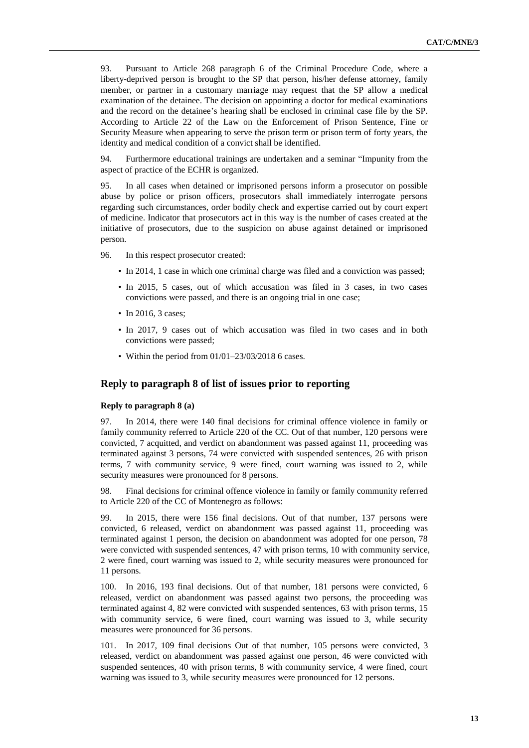93. Pursuant to Article 268 paragraph 6 of the Criminal Procedure Code, where a liberty-deprived person is brought to the SP that person, his/her defense attorney, family member, or partner in a customary marriage may request that the SP allow a medical examination of the detainee. The decision on appointing a doctor for medical examinations and the record on the detainee's hearing shall be enclosed in criminal case file by the SP. According to Article 22 of the Law on the Enforcement of Prison Sentence, Fine or Security Measure when appearing to serve the prison term or prison term of forty years, the identity and medical condition of a convict shall be identified.

94. Furthermore educational trainings are undertaken and a seminar "Impunity from the aspect of practice of the ECHR is organized.

95. In all cases when detained or imprisoned persons inform a prosecutor on possible abuse by police or prison officers, prosecutors shall immediately interrogate persons regarding such circumstances, order bodily check and expertise carried out by court expert of medicine. Indicator that prosecutors act in this way is the number of cases created at the initiative of prosecutors, due to the suspicion on abuse against detained or imprisoned person.

96. In this respect prosecutor created:

- In 2014, 1 case in which one criminal charge was filed and a conviction was passed;
- In 2015, 5 cases, out of which accusation was filed in 3 cases, in two cases convictions were passed, and there is an ongoing trial in one case;
- In 2016, 3 cases;
- In 2017, 9 cases out of which accusation was filed in two cases and in both convictions were passed;
- Within the period from 01/01–23/03/2018 6 cases.

# **Reply to paragraph 8 of list of issues prior to reporting**

#### **Reply to paragraph 8 (a)**

97. In 2014, there were 140 final decisions for criminal offence violence in family or family community referred to Article 220 of the CC. Out of that number, 120 persons were convicted, 7 acquitted, and verdict on abandonment was passed against 11, proceeding was terminated against 3 persons, 74 were convicted with suspended sentences, 26 with prison terms, 7 with community service, 9 were fined, court warning was issued to 2, while security measures were pronounced for 8 persons.

98. Final decisions for criminal offence violence in family or family community referred to Article 220 of the CC of Montenegro as follows:

99. In 2015, there were 156 final decisions. Out of that number, 137 persons were convicted, 6 released, verdict on abandonment was passed against 11, proceeding was terminated against 1 person, the decision on abandonment was adopted for one person, 78 were convicted with suspended sentences, 47 with prison terms, 10 with community service, 2 were fined, court warning was issued to 2, while security measures were pronounced for 11 persons.

100. In 2016, 193 final decisions. Out of that number, 181 persons were convicted, 6 released, verdict on abandonment was passed against two persons, the proceeding was terminated against 4, 82 were convicted with suspended sentences, 63 with prison terms, 15 with community service, 6 were fined, court warning was issued to 3, while security measures were pronounced for 36 persons.

101. In 2017, 109 final decisions Out of that number, 105 persons were convicted, 3 released, verdict on abandonment was passed against one person, 46 were convicted with suspended sentences, 40 with prison terms, 8 with community service, 4 were fined, court warning was issued to 3, while security measures were pronounced for 12 persons.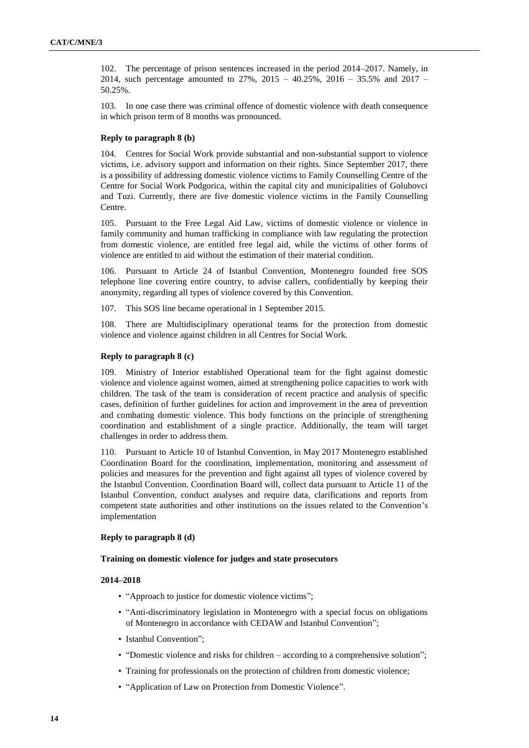102. The percentage of prison sentences increased in the period 2014–2017. Namely, in 2014, such percentage amounted to 27%, 2015 – 40.25%, 2016 – 35.5% and 2017 – 50.25%.

103. In one case there was criminal offence of domestic violence with death consequence in which prison term of 8 months was pronounced.

### **Reply to paragraph 8 (b)**

104. Centres for Social Work provide substantial and non-substantial support to violence victims, i.e. advisory support and information on their rights. Since September 2017, there is a possibility of addressing domestic violence victims to Family Counselling Centre of the Centre for Social Work Podgorica, within the capital city and municipalities of Golubovci and Tuzi. Currently, there are five domestic violence victims in the Family Counselling Centre.

105. Pursuant to the Free Legal Aid Law, victims of domestic violence or violence in family community and human trafficking in compliance with law regulating the protection from domestic violence, are entitled free legal aid, while the victims of other forms of violence are entitled to aid without the estimation of their material condition.

106. Pursuant to Article 24 of Istanbul Convention, Montenegro founded free SOS telephone line covering entire country, to advise callers, confidentially by keeping their anonymity, regarding all types of violence covered by this Convention.

107. This SOS line became operational in 1 September 2015.

108. There are Multidisciplinary operational teams for the protection from domestic violence and violence against children in all Centres for Social Work.

#### **Reply to paragraph 8 (c)**

109. Ministry of Interior established Operational team for the fight against domestic violence and violence against women, aimed at strengthening police capacities to work with children. The task of the team is consideration of recent practice and analysis of specific cases, definition of further guidelines for action and improvement in the area of prevention and combating domestic violence. This body functions on the principle of strengthening coordination and establishment of a single practice. Additionally, the team will target challenges in order to address them.

110. Pursuant to Article 10 of Istanbul Convention, in May 2017 Montenegro established Coordination Board for the coordination, implementation, monitoring and assessment of policies and measures for the prevention and fight against all types of violence covered by the Istanbul Convention. Coordination Board will, collect data pursuant to Article 11 of the Istanbul Convention, conduct analyses and require data, clarifications and reports from competent state authorities and other institutions on the issues related to the Convention's implementation

#### **Reply to paragraph 8 (d)**

# **Training on domestic violence for judges and state prosecutors**

#### **2014–2018**

- "Approach to justice for domestic violence victims";
- "Anti-discriminatory legislation in Montenegro with a special focus on obligations of Montenegro in accordance with CEDAW and Istanbul Convention";
- Istanbul Convention";
- "Domestic violence and risks for children according to a comprehensive solution";
- Training for professionals on the protection of children from domestic violence;
- "Application of Law on Protection from Domestic Violence".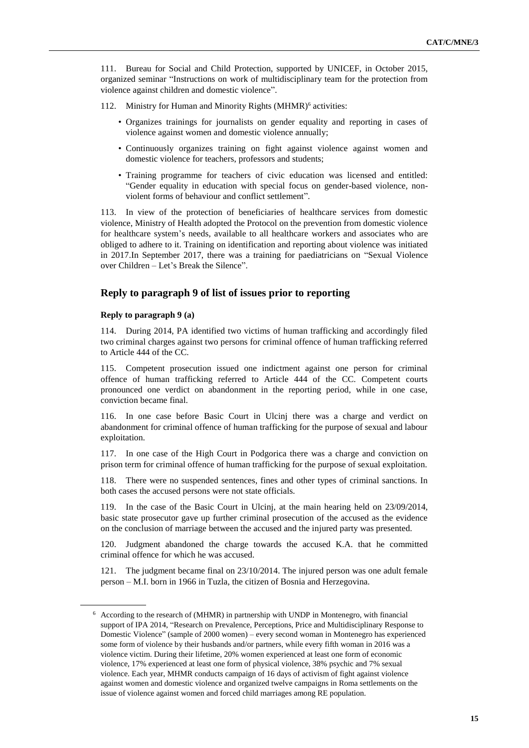111. Bureau for Social and Child Protection, supported by UNICEF, in October 2015, organized seminar "Instructions on work of multidisciplinary team for the protection from violence against children and domestic violence".

- 112. Ministry for Human and Minority Rights (MHMR)<sup>6</sup> activities:
	- Organizes trainings for journalists on gender equality and reporting in cases of violence against women and domestic violence annually;
	- Continuously organizes training on fight against violence against women and domestic violence for teachers, professors and students;
	- Training programme for teachers of civic education was licensed and entitled: "Gender equality in education with special focus on gender-based violence, nonviolent forms of behaviour and conflict settlement".

113. In view of the protection of beneficiaries of healthcare services from domestic violence, Ministry of Health adopted the Protocol on the prevention from domestic violence for healthcare system's needs, available to all healthcare workers and associates who are obliged to adhere to it. Training on identification and reporting about violence was initiated in 2017.In September 2017, there was a training for paediatricians on "Sexual Violence over Children – Let's Break the Silence".

# **Reply to paragraph 9 of list of issues prior to reporting**

# **Reply to paragraph 9 (a)**

114. During 2014, PA identified two victims of human trafficking and accordingly filed two criminal charges against two persons for criminal offence of human trafficking referred to Article 444 of the CC.

115. Competent prosecution issued one indictment against one person for criminal offence of human trafficking referred to Article 444 of the CC. Competent courts pronounced one verdict on abandonment in the reporting period, while in one case, conviction became final.

116. In one case before Basic Court in Ulcinj there was a charge and verdict on abandonment for criminal offence of human trafficking for the purpose of sexual and labour exploitation.

117. In one case of the High Court in Podgorica there was a charge and conviction on prison term for criminal offence of human trafficking for the purpose of sexual exploitation.

118. There were no suspended sentences, fines and other types of criminal sanctions. In both cases the accused persons were not state officials.

119. In the case of the Basic Court in Ulcinj, at the main hearing held on 23/09/2014, basic state prosecutor gave up further criminal prosecution of the accused as the evidence on the conclusion of marriage between the accused and the injured party was presented.

120. Judgment abandoned the charge towards the accused K.A. that he committed criminal offence for which he was accused.

121. The judgment became final on 23/10/2014. The injured person was one adult female person – M.I. born in 1966 in Tuzla, the citizen of Bosnia and Herzegovina.

<sup>6</sup> According to the research of (MHMR) in partnership with UNDP in Montenegro, with financial support of IPA 2014, "Research on Prevalence, Perceptions, Price and Multidisciplinary Response to Domestic Violence" (sample of 2000 women) – every second woman in Montenegro has experienced some form of violence by their husbands and/or partners, while every fifth woman in 2016 was a violence victim. During their lifetime, 20% women experienced at least one form of economic violence, 17% experienced at least one form of physical violence, 38% psychic and 7% sexual violence. Each year, MHMR conducts campaign of 16 days of activism of fight against violence against women and domestic violence and organized twelve campaigns in Roma settlements on the issue of violence against women and forced child marriages among RE population.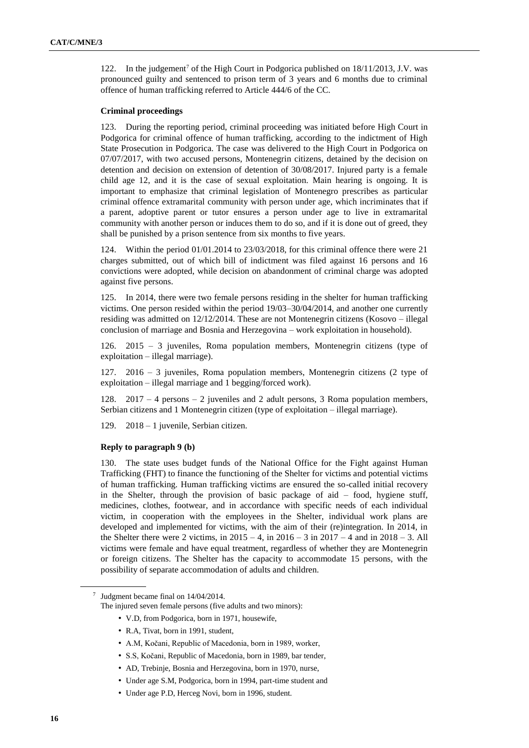122. In the judgement<sup>7</sup> of the High Court in Podgorica published on 18/11/2013, J.V. was pronounced guilty and sentenced to prison term of 3 years and 6 months due to criminal offence of human trafficking referred to Article 444/6 of the CC.

#### **Criminal proceedings**

123. During the reporting period, criminal proceeding was initiated before High Court in Podgorica for criminal offence of human trafficking, according to the indictment of High State Prosecution in Podgorica. The case was delivered to the High Court in Podgorica on 07/07/2017, with two accused persons, Montenegrin citizens, detained by the decision on detention and decision on extension of detention of 30/08/2017. Injured party is a female child age 12, and it is the case of sexual exploitation. Main hearing is ongoing. It is important to emphasize that criminal legislation of Montenegro prescribes as particular criminal offence extramarital community with person under age, which incriminates that if a parent, adoptive parent or tutor ensures a person under age to live in extramarital community with another person or induces them to do so, and if it is done out of greed, they shall be punished by a prison sentence from six months to five years.

124. Within the period 01/01.2014 to 23/03/2018, for this criminal offence there were 21 charges submitted, out of which bill of indictment was filed against 16 persons and 16 convictions were adopted, while decision on abandonment of criminal charge was adopted against five persons.

125. In 2014, there were two female persons residing in the shelter for human trafficking victims. One person resided within the period 19/03–30/04/2014, and another one currently residing was admitted on 12/12/2014. These are not Montenegrin citizens (Kosovo – illegal conclusion of marriage and Bosnia and Herzegovina – work exploitation in household).

126. 2015 – 3 juveniles, Roma population members, Montenegrin citizens (type of exploitation – illegal marriage).

127. 2016 – 3 juveniles, Roma population members, Montenegrin citizens (2 type of exploitation – illegal marriage and 1 begging/forced work).

 $2017 - 4$  persons  $- 2$  juveniles and 2 adult persons, 3 Roma population members, Serbian citizens and 1 Montenegrin citizen (type of exploitation – illegal marriage).

129. 2018 – 1 juvenile, Serbian citizen.

## **Reply to paragraph 9 (b)**

130. The state uses budget funds of the National Office for the Fight against Human Trafficking (FHT) to finance the functioning of the Shelter for victims and potential victims of human trafficking. Human trafficking victims are ensured the so-called initial recovery in the Shelter, through the provision of basic package of aid – food, hygiene stuff, medicines, clothes, footwear, and in accordance with specific needs of each individual victim, in cooperation with the employees in the Shelter, individual work plans are developed and implemented for victims, with the aim of their (re)integration. In 2014, in the Shelter there were 2 victims, in  $2015 - 4$ , in  $2016 - 3$  in  $2017 - 4$  and in  $2018 - 3$ . All victims were female and have equal treatment, regardless of whether they are Montenegrin or foreign citizens. The Shelter has the capacity to accommodate 15 persons, with the possibility of separate accommodation of adults and children.

7 Judgment became final on 14/04/2014.

The injured seven female persons (five adults and two minors):

- V.D, from Podgorica, born in 1971, housewife,
- R.A, Tivat, born in 1991, student,
- A.M, Kočani, Republic of Macedonia, born in 1989, worker,
- S.S, Kočani, Republic of Macedonia, born in 1989, bar tender,
- AD, Trebinje, Bosnia and Herzegovina, born in 1970, nurse,
- Under age S.M, Podgorica, born in 1994, part-time student and
- Under age P.D, Herceg Novi, born in 1996, student.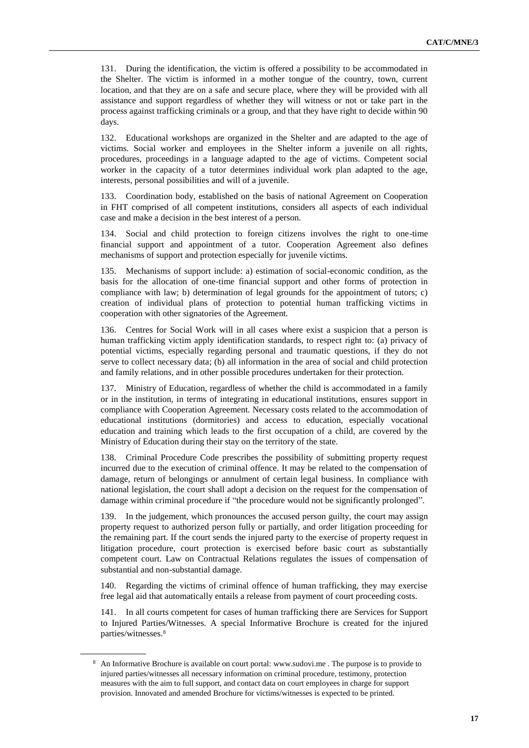131. During the identification, the victim is offered a possibility to be accommodated in the Shelter. The victim is informed in a mother tongue of the country, town, current location, and that they are on a safe and secure place, where they will be provided with all assistance and support regardless of whether they will witness or not or take part in the process against trafficking criminals or a group, and that they have right to decide within 90 days.

132. Educational workshops are organized in the Shelter and are adapted to the age of victims. Social worker and employees in the Shelter inform a juvenile on all rights, procedures, proceedings in a language adapted to the age of victims. Competent social worker in the capacity of a tutor determines individual work plan adapted to the age, interests, personal possibilities and will of a juvenile.

133. Coordination body, established on the basis of national Agreement on Cooperation in FHT comprised of all competent institutions, considers all aspects of each individual case and make a decision in the best interest of a person.

134. Social and child protection to foreign citizens involves the right to one-time financial support and appointment of a tutor. Cooperation Agreement also defines mechanisms of support and protection especially for juvenile victims.

135. Mechanisms of support include: a) estimation of social-economic condition, as the basis for the allocation of one-time financial support and other forms of protection in compliance with law; b) determination of legal grounds for the appointment of tutors; c) creation of individual plans of protection to potential human trafficking victims in cooperation with other signatories of the Agreement.

136. Centres for Social Work will in all cases where exist a suspicion that a person is human trafficking victim apply identification standards, to respect right to: (a) privacy of potential victims, especially regarding personal and traumatic questions, if they do not serve to collect necessary data; (b) all information in the area of social and child protection and family relations, and in other possible procedures undertaken for their protection.

137. Ministry of Education, regardless of whether the child is accommodated in a family or in the institution, in terms of integrating in educational institutions, ensures support in compliance with Cooperation Agreement. Necessary costs related to the accommodation of educational institutions (dormitories) and access to education, especially vocational education and training which leads to the first occupation of a child, are covered by the Ministry of Education during their stay on the territory of the state.

138. Criminal Procedure Code prescribes the possibility of submitting property request incurred due to the execution of criminal offence. It may be related to the compensation of damage, return of belongings or annulment of certain legal business. In compliance with national legislation, the court shall adopt a decision on the request for the compensation of damage within criminal procedure if "the procedure would not be significantly prolonged".

139. In the judgement, which pronounces the accused person guilty, the court may assign property request to authorized person fully or partially, and order litigation proceeding for the remaining part. If the court sends the injured party to the exercise of property request in litigation procedure, court protection is exercised before basic court as substantially competent court. Law on Contractual Relations regulates the issues of compensation of substantial and non-substantial damage.

140. Regarding the victims of criminal offence of human trafficking, they may exercise free legal aid that automatically entails a release from payment of court proceeding costs.

141. In all courts competent for cases of human trafficking there are Services for Support to Injured Parties/Witnesses. A special Informative Brochure is created for the injured parties/witnesses.<sup>8</sup>

<sup>8</sup> An Informative Brochure is available on court portal: [www.sudovi.me](http://www.sudovi.me/) . The purpose is to provide to injured parties/witnesses all necessary information on criminal procedure, testimony, protection measures with the aim to full support, and contact data on court employees in charge for support provision. Innovated and amended Brochure for victims/witnesses is expected to be printed.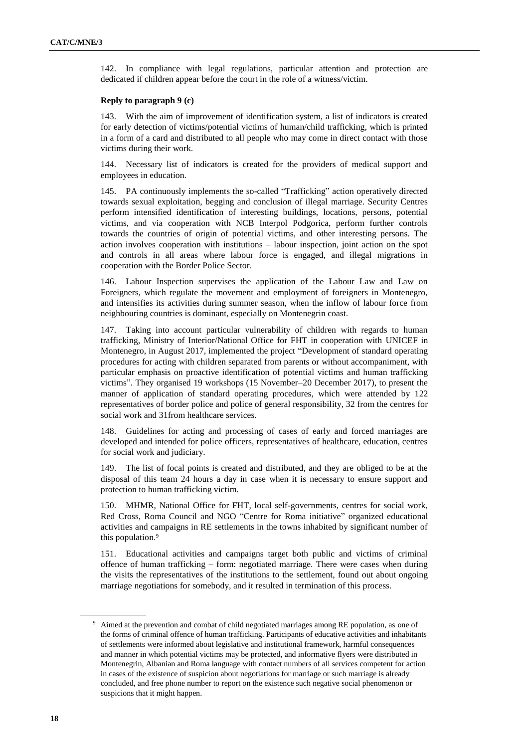142. In compliance with legal regulations, particular attention and protection are dedicated if children appear before the court in the role of a witness/victim.

#### **Reply to paragraph 9 (c)**

143. With the aim of improvement of identification system, a list of indicators is created for early detection of victims/potential victims of human/child trafficking, which is printed in a form of a card and distributed to all people who may come in direct contact with those victims during their work.

144. Necessary list of indicators is created for the providers of medical support and employees in education.

145. PA continuously implements the so-called "Trafficking" action operatively directed towards sexual exploitation, begging and conclusion of illegal marriage. Security Centres perform intensified identification of interesting buildings, locations, persons, potential victims, and via cooperation with NCB Interpol Podgorica, perform further controls towards the countries of origin of potential victims, and other interesting persons. The action involves cooperation with institutions – labour inspection, joint action on the spot and controls in all areas where labour force is engaged, and illegal migrations in cooperation with the Border Police Sector.

146. Labour Inspection supervises the application of the Labour Law and Law on Foreigners, which regulate the movement and employment of foreigners in Montenegro, and intensifies its activities during summer season, when the inflow of labour force from neighbouring countries is dominant, especially on Montenegrin coast.

147. Taking into account particular vulnerability of children with regards to human trafficking, Ministry of Interior/National Office for FHT in cooperation with UNICEF in Montenegro, in August 2017, implemented the project "Development of standard operating procedures for acting with children separated from parents or without accompaniment, with particular emphasis on proactive identification of potential victims and human trafficking victims". They organised 19 workshops (15 November–20 December 2017), to present the manner of application of standard operating procedures, which were attended by 122 representatives of border police and police of general responsibility, 32 from the centres for social work and 31from healthcare services.

148. Guidelines for acting and processing of cases of early and forced marriages are developed and intended for police officers, representatives of healthcare, education, centres for social work and judiciary.

149. The list of focal points is created and distributed, and they are obliged to be at the disposal of this team 24 hours a day in case when it is necessary to ensure support and protection to human trafficking victim.

150. MHMR, National Office for FHT, local self-governments, centres for social work, Red Cross, Roma Council and NGO "Centre for Roma initiative" organized educational activities and campaigns in RE settlements in the towns inhabited by significant number of this population.<sup>9</sup>

151. Educational activities and campaigns target both public and victims of criminal offence of human trafficking – form: negotiated marriage. There were cases when during the visits the representatives of the institutions to the settlement, found out about ongoing marriage negotiations for somebody, and it resulted in termination of this process.

<sup>&</sup>lt;sup>9</sup> Aimed at the prevention and combat of child negotiated marriages among RE population, as one of the forms of criminal offence of human trafficking. Participants of educative activities and inhabitants of settlements were informed about legislative and institutional framework, harmful consequences and manner in which potential victims may be protected, and informative flyers were distributed in Montenegrin, Albanian and Roma language with contact numbers of all services competent for action in cases of the existence of suspicion about negotiations for marriage or such marriage is already concluded, and free phone number to report on the existence such negative social phenomenon or suspicions that it might happen.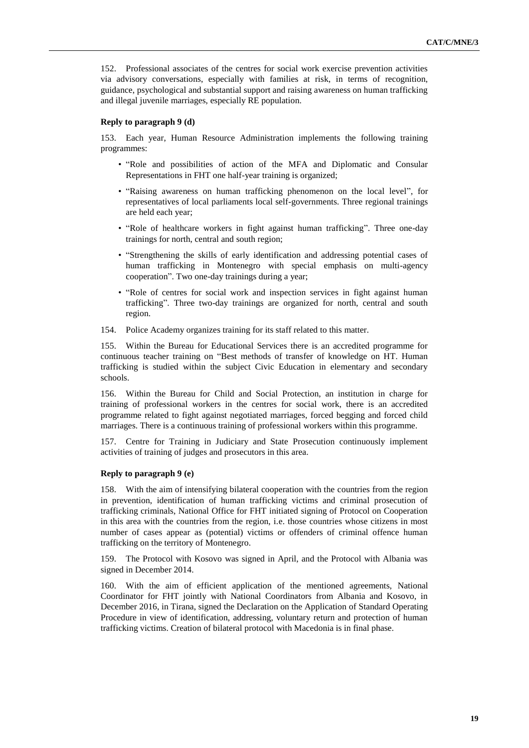152. Professional associates of the centres for social work exercise prevention activities via advisory conversations, especially with families at risk, in terms of recognition, guidance, psychological and substantial support and raising awareness on human trafficking and illegal juvenile marriages, especially RE population.

#### **Reply to paragraph 9 (d)**

153. Each year, Human Resource Administration implements the following training programmes:

- "Role and possibilities of action of the MFA and Diplomatic and Consular Representations in FHT one half-year training is organized;
- "Raising awareness on human trafficking phenomenon on the local level", for representatives of local parliaments local self-governments. Three regional trainings are held each year;
- "Role of healthcare workers in fight against human trafficking". Three one-day trainings for north, central and south region;
- "Strengthening the skills of early identification and addressing potential cases of human trafficking in Montenegro with special emphasis on multi-agency cooperation". Two one-day trainings during a year;
- "Role of centres for social work and inspection services in fight against human trafficking". Three two-day trainings are organized for north, central and south region.
- 154. Police Academy organizes training for its staff related to this matter.

155. Within the Bureau for Educational Services there is an accredited programme for continuous teacher training on "Best methods of transfer of knowledge on HT. Human trafficking is studied within the subject Civic Education in elementary and secondary schools.

156. Within the Bureau for Child and Social Protection, an institution in charge for training of professional workers in the centres for social work, there is an accredited programme related to fight against negotiated marriages, forced begging and forced child marriages. There is a continuous training of professional workers within this programme.

157. Centre for Training in Judiciary and State Prosecution continuously implement activities of training of judges and prosecutors in this area.

#### **Reply to paragraph 9 (e)**

158. With the aim of intensifying bilateral cooperation with the countries from the region in prevention, identification of human trafficking victims and criminal prosecution of trafficking criminals, National Office for FHT initiated signing of Protocol on Cooperation in this area with the countries from the region, i.e. those countries whose citizens in most number of cases appear as (potential) victims or offenders of criminal offence human trafficking on the territory of Montenegro.

159. The Protocol with Kosovo was signed in April, and the Protocol with Albania was signed in December 2014.

160. With the aim of efficient application of the mentioned agreements, National Coordinator for FHT jointly with National Coordinators from Albania and Kosovo, in December 2016, in Tirana, signed the Declaration on the Application of Standard Operating Procedure in view of identification, addressing, voluntary return and protection of human trafficking victims. Creation of bilateral protocol with Macedonia is in final phase.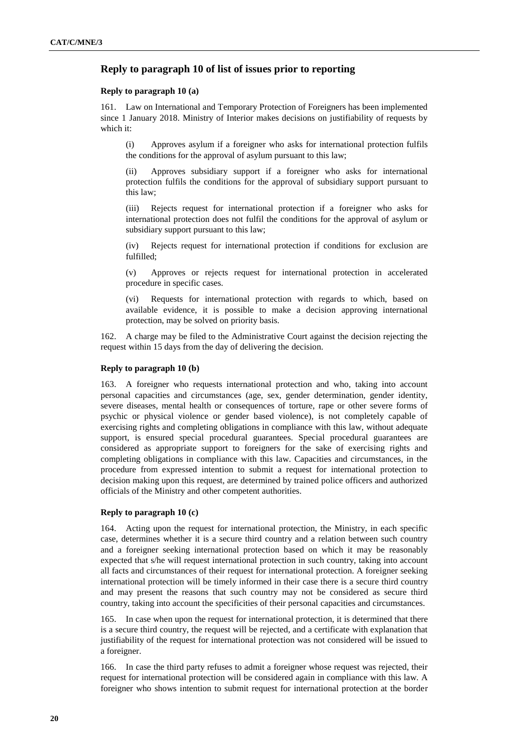# **Reply to paragraph 10 of list of issues prior to reporting**

# **Reply to paragraph 10 (a)**

161. Law on International and Temporary Protection of Foreigners has been implemented since 1 January 2018. Ministry of Interior makes decisions on justifiability of requests by which it:

(i) Approves asylum if a foreigner who asks for international protection fulfils the conditions for the approval of asylum pursuant to this law;

(ii) Approves subsidiary support if a foreigner who asks for international protection fulfils the conditions for the approval of subsidiary support pursuant to this law;

(iii) Rejects request for international protection if a foreigner who asks for international protection does not fulfil the conditions for the approval of asylum or subsidiary support pursuant to this law;

(iv) Rejects request for international protection if conditions for exclusion are fulfilled;

(v) Approves or rejects request for international protection in accelerated procedure in specific cases.

(vi) Requests for international protection with regards to which, based on available evidence, it is possible to make a decision approving international protection, may be solved on priority basis.

162. A charge may be filed to the Administrative Court against the decision rejecting the request within 15 days from the day of delivering the decision.

# **Reply to paragraph 10 (b)**

163. A foreigner who requests international protection and who, taking into account personal capacities and circumstances (age, sex, gender determination, gender identity, severe diseases, mental health or consequences of torture, rape or other severe forms of psychic or physical violence or gender based violence), is not completely capable of exercising rights and completing obligations in compliance with this law, without adequate support, is ensured special procedural guarantees. Special procedural guarantees are considered as appropriate support to foreigners for the sake of exercising rights and completing obligations in compliance with this law. Capacities and circumstances, in the procedure from expressed intention to submit a request for international protection to decision making upon this request, are determined by trained police officers and authorized officials of the Ministry and other competent authorities.

# **Reply to paragraph 10 (c)**

164. Acting upon the request for international protection, the Ministry, in each specific case, determines whether it is a secure third country and a relation between such country and a foreigner seeking international protection based on which it may be reasonably expected that s/he will request international protection in such country, taking into account all facts and circumstances of their request for international protection. A foreigner seeking international protection will be timely informed in their case there is a secure third country and may present the reasons that such country may not be considered as secure third country, taking into account the specificities of their personal capacities and circumstances.

165. In case when upon the request for international protection, it is determined that there is a secure third country, the request will be rejected, and a certificate with explanation that justifiability of the request for international protection was not considered will be issued to a foreigner.

166. In case the third party refuses to admit a foreigner whose request was rejected, their request for international protection will be considered again in compliance with this law. A foreigner who shows intention to submit request for international protection at the border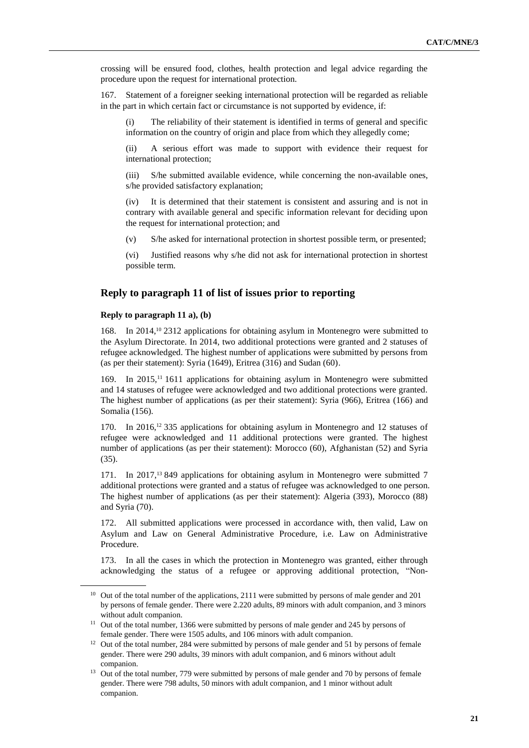crossing will be ensured food, clothes, health protection and legal advice regarding the procedure upon the request for international protection.

167. Statement of a foreigner seeking international protection will be regarded as reliable in the part in which certain fact or circumstance is not supported by evidence, if:

(i) The reliability of their statement is identified in terms of general and specific information on the country of origin and place from which they allegedly come;

(ii) A serious effort was made to support with evidence their request for international protection;

(iii) S/he submitted available evidence, while concerning the non-available ones, s/he provided satisfactory explanation;

(iv) It is determined that their statement is consistent and assuring and is not in contrary with available general and specific information relevant for deciding upon the request for international protection; and

(v) S/he asked for international protection in shortest possible term, or presented;

(vi) Justified reasons why s/he did not ask for international protection in shortest possible term.

# **Reply to paragraph 11 of list of issues prior to reporting**

# **Reply to paragraph 11 a), (b)**

168. In 2014,<sup>10</sup> 2312 applications for obtaining asylum in Montenegro were submitted to the Asylum Directorate. In 2014, two additional protections were granted and 2 statuses of refugee acknowledged. The highest number of applications were submitted by persons from (as per their statement): Syria (1649), Eritrea (316) and Sudan (60).

169. In 2015,<sup>11</sup> 1611 applications for obtaining asylum in Montenegro were submitted and 14 statuses of refugee were acknowledged and two additional protections were granted. The highest number of applications (as per their statement): Syria (966), Eritrea (166) and Somalia (156).

170. In 2016,<sup>12</sup> 335 applications for obtaining asylum in Montenegro and 12 statuses of refugee were acknowledged and 11 additional protections were granted. The highest number of applications (as per their statement): Morocco (60), Afghanistan (52) and Syria (35).

171. In 2017,<sup>13</sup> 849 applications for obtaining asylum in Montenegro were submitted 7 additional protections were granted and a status of refugee was acknowledged to one person. The highest number of applications (as per their statement): Algeria (393), Morocco (88) and Syria (70).

172. All submitted applications were processed in accordance with, then valid, Law on Asylum and Law on General Administrative Procedure, i.e. Law on Administrative Procedure.

173. In all the cases in which the protection in Montenegro was granted, either through acknowledging the status of a refugee or approving additional protection, "Non-

<sup>&</sup>lt;sup>10</sup> Out of the total number of the applications, 2111 were submitted by persons of male gender and 201 by persons of female gender. There were 2.220 adults, 89 minors with adult companion, and 3 minors without adult companion.

<sup>&</sup>lt;sup>11</sup> Out of the total number, 1366 were submitted by persons of male gender and 245 by persons of female gender. There were 1505 adults, and 106 minors with adult companion.

<sup>&</sup>lt;sup>12</sup> Out of the total number, 284 were submitted by persons of male gender and 51 by persons of female gender. There were 290 adults, 39 minors with adult companion, and 6 minors without adult companion.

<sup>&</sup>lt;sup>13</sup> Out of the total number, 779 were submitted by persons of male gender and 70 by persons of female gender. There were 798 adults, 50 minors with adult companion, and 1 minor without adult companion.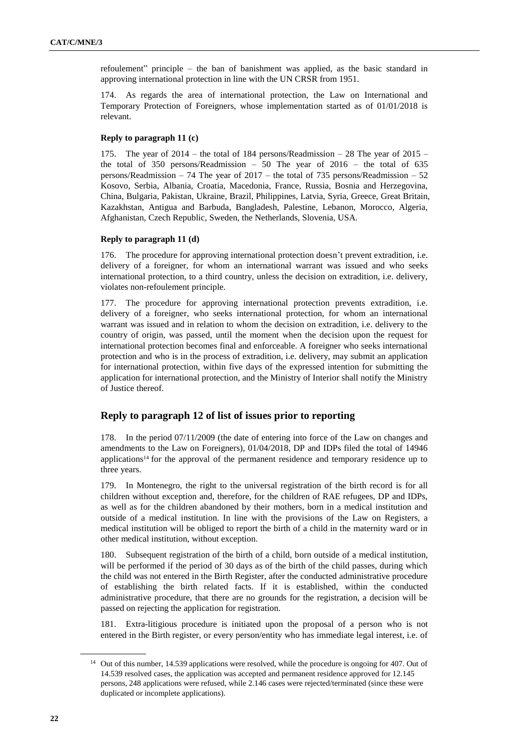refoulement" principle – the ban of banishment was applied, as the basic standard in approving international protection in line with the UN CRSR from 1951.

174. As regards the area of international protection, the Law on International and Temporary Protection of Foreigners, whose implementation started as of 01/01/2018 is relevant.

# **Reply to paragraph 11 (c)**

175. The year of 2014 – the total of 184 persons/Readmission – 28 The year of 2015 – the total of 350 persons/Readmission – 50 The year of 2016 – the total of 635 persons/Readmission – 74 The year of 2017 – the total of 735 persons/Readmission – 52 Kosovo, Serbia, Albania, Croatia, Macedonia, France, Russia, Bosnia and Herzegovina, China, Bulgaria, Pakistan, Ukraine, Brazil, Philippines, Latvia, Syria, Greece, Great Britain, Kazakhstan, Antigua and Barbuda, Bangladesh, Palestine, Lebanon, Morocco, Algeria, Afghanistan, Czech Republic, Sweden, the Netherlands, Slovenia, USA.

# **Reply to paragraph 11 (d)**

176. The procedure for approving international protection doesn't prevent extradition, i.e. delivery of a foreigner, for whom an international warrant was issued and who seeks international protection, to a third country, unless the decision on extradition, i.e. delivery, violates non-refoulement principle.

177. The procedure for approving international protection prevents extradition, i.e. delivery of a foreigner, who seeks international protection, for whom an international warrant was issued and in relation to whom the decision on extradition, i.e. delivery to the country of origin, was passed, until the moment when the decision upon the request for international protection becomes final and enforceable. A foreigner who seeks international protection and who is in the process of extradition, i.e. delivery, may submit an application for international protection, within five days of the expressed intention for submitting the application for international protection, and the Ministry of Interior shall notify the Ministry of Justice thereof.

# **Reply to paragraph 12 of list of issues prior to reporting**

178. In the period 07/11/2009 (the date of entering into force of the Law on changes and amendments to the Law on Foreigners), 01/04/2018, DP and IDPs filed the total of 14946 applications<sup>14</sup> for the approval of the permanent residence and temporary residence up to three years.

179. In Montenegro, the right to the universal registration of the birth record is for all children without exception and, therefore, for the children of RAE refugees, DP and IDPs, as well as for the children abandoned by their mothers, born in a medical institution and outside of a medical institution. In line with the provisions of the Law on Registers, a medical institution will be obliged to report the birth of a child in the maternity ward or in other medical institution, without exception.

180. Subsequent registration of the birth of a child, born outside of a medical institution, will be performed if the period of 30 days as of the birth of the child passes, during which the child was not entered in the Birth Register, after the conducted administrative procedure of establishing the birth related facts. If it is established, within the conducted administrative procedure, that there are no grounds for the registration, a decision will be passed on rejecting the application for registration.

181. Extra-litigious procedure is initiated upon the proposal of a person who is not entered in the Birth register, or every person/entity who has immediate legal interest, i.e. of

<sup>&</sup>lt;sup>14</sup> Out of this number, 14.539 applications were resolved, while the procedure is ongoing for 407. Out of 14.539 resolved cases, the application was accepted and permanent residence approved for 12.145 persons, 248 applications were refused, while 2.146 cases were rejected/terminated (since these were duplicated or incomplete applications).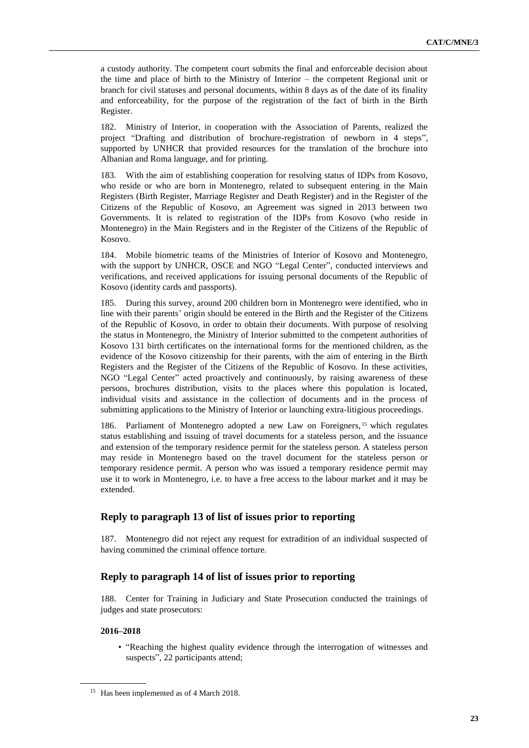a custody authority. The competent court submits the final and enforceable decision about the time and place of birth to the Ministry of Interior – the competent Regional unit or branch for civil statuses and personal documents, within 8 days as of the date of its finality and enforceability, for the purpose of the registration of the fact of birth in the Birth Register.

182. Ministry of Interior, in cooperation with the Association of Parents, realized the project "Drafting and distribution of brochure-registration of newborn in 4 steps", supported by UNHCR that provided resources for the translation of the brochure into Albanian and Roma language, and for printing.

183. With the aim of establishing cooperation for resolving status of IDPs from Kosovo, who reside or who are born in Montenegro, related to subsequent entering in the Main Registers (Birth Register, Marriage Register and Death Register) and in the Register of the Citizens of the Republic of Kosovo, an Agreement was signed in 2013 between two Governments. It is related to registration of the IDPs from Kosovo (who reside in Montenegro) in the Main Registers and in the Register of the Citizens of the Republic of Kosovo.

184. Mobile biometric teams of the Ministries of Interior of Kosovo and Montenegro, with the support by UNHCR, OSCE and NGO "Legal Center", conducted interviews and verifications, and received applications for issuing personal documents of the Republic of Kosovo (identity cards and passports).

185. During this survey, around 200 children born in Montenegro were identified, who in line with their parents' origin should be entered in the Birth and the Register of the Citizens of the Republic of Kosovo, in order to obtain their documents. With purpose of resolving the status in Montenegro, the Ministry of Interior submitted to the competent authorities of Kosovo 131 birth certificates on the international forms for the mentioned children, as the evidence of the Kosovo citizenship for their parents, with the aim of entering in the Birth Registers and the Register of the Citizens of the Republic of Kosovo. In these activities, NGO "Legal Center" acted proactively and continuously, by raising awareness of these persons, brochures distribution, visits to the places where this population is located, individual visits and assistance in the collection of documents and in the process of submitting applications to the Ministry of Interior or launching extra-litigious proceedings.

186. Parliament of Montenegro adopted a new Law on Foreigners, <sup>15</sup> which regulates status establishing and issuing of travel documents for a stateless person, and the issuance and extension of the temporary residence permit for the stateless person. A stateless person may reside in Montenegro based on the travel document for the stateless person or temporary residence permit. A person who was issued a temporary residence permit may use it to work in Montenegro, i.e. to have a free access to the labour market and it may be extended.

# **Reply to paragraph 13 of list of issues prior to reporting**

187. Montenegro did not reject any request for extradition of an individual suspected of having committed the criminal offence torture.

# **Reply to paragraph 14 of list of issues prior to reporting**

188. Center for Training in Judiciary and State Prosecution conducted the trainings of judges and state prosecutors:

# **2016–2018**

• "Reaching the highest quality evidence through the interrogation of witnesses and suspects", 22 participants attend;

<sup>&</sup>lt;sup>15</sup> Has been implemented as of 4 March 2018.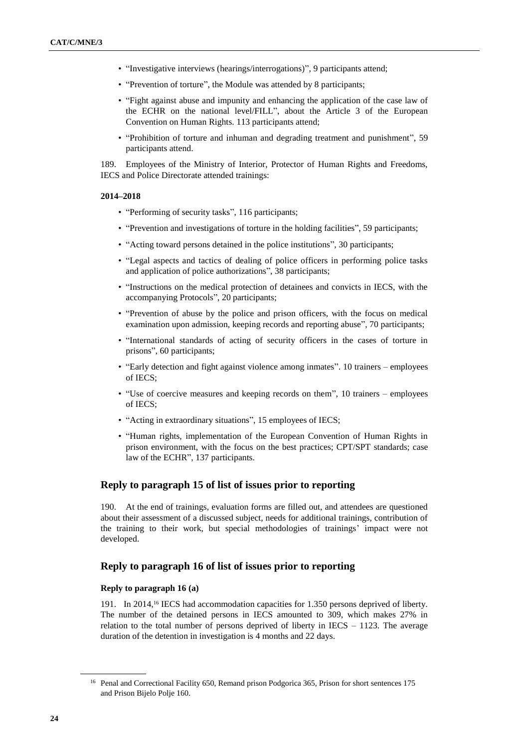- "Investigative interviews (hearings/interrogations)", 9 participants attend;
- "Prevention of torture", the Module was attended by 8 participants;
- "Fight against abuse and impunity and enhancing the application of the case law of the ECHR on the national level/FILL", about the Article 3 of the European Convention on Human Rights. 113 participants attend;
- "Prohibition of torture and inhuman and degrading treatment and punishment", 59 participants attend.

189. Employees of the Ministry of Interior, Protector of Human Rights and Freedoms, IECS and Police Directorate attended trainings:

#### **2014–2018**

- "Performing of security tasks", 116 participants;
- "Prevention and investigations of torture in the holding facilities", 59 participants;
- "Acting toward persons detained in the police institutions", 30 participants;
- "Legal aspects and tactics of dealing of police officers in performing police tasks and application of police authorizations", 38 participants;
- "Instructions on the medical protection of detainees and convicts in IECS, with the accompanying Protocols", 20 participants;
- "Prevention of abuse by the police and prison officers, with the focus on medical examination upon admission, keeping records and reporting abuse", 70 participants;
- "International standards of acting of security officers in the cases of torture in prisons", 60 participants;
- "Early detection and fight against violence among inmates". 10 trainers employees of IECS;
- "Use of coercive measures and keeping records on them", 10 trainers employees of IECS;
- "Acting in extraordinary situations", 15 employees of IECS;
- "Human rights, implementation of the European Convention of Human Rights in prison environment, with the focus on the best practices; CPT/SPT standards; case law of the ECHR", 137 participants.

# **Reply to paragraph 15 of list of issues prior to reporting**

190. At the end of trainings, evaluation forms are filled out, and attendees are questioned about their assessment of a discussed subject, needs for additional trainings, contribution of the training to their work, but special methodologies of trainings' impact were not developed.

# **Reply to paragraph 16 of list of issues prior to reporting**

# **Reply to paragraph 16 (a)**

191. In 2014,<sup>16</sup> IECS had accommodation capacities for 1.350 persons deprived of liberty. The number of the detained persons in IECS amounted to 309, which makes 27% in relation to the total number of persons deprived of liberty in IECS – 1123. The average duration of the detention in investigation is 4 months and 22 days.

<sup>&</sup>lt;sup>16</sup> Penal and Correctional Facility 650, Remand prison Podgorica 365, Prison for short sentences 175 and Prison Bijelo Polje 160.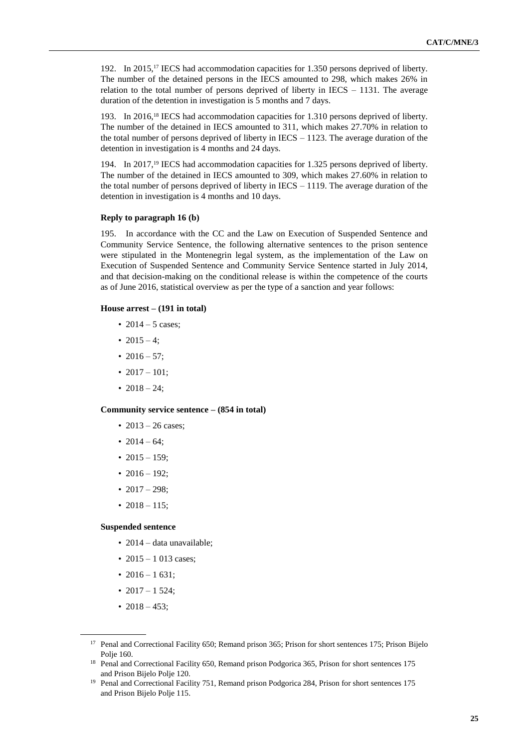192. In 2015,<sup>17</sup> IECS had accommodation capacities for 1.350 persons deprived of liberty. The number of the detained persons in the IECS amounted to 298, which makes 26% in relation to the total number of persons deprived of liberty in IECS  $-$  1131. The average duration of the detention in investigation is 5 months and 7 days.

193. In 2016,<sup>18</sup> IECS had accommodation capacities for 1.310 persons deprived of liberty. The number of the detained in IECS amounted to 311, which makes 27.70% in relation to the total number of persons deprived of liberty in  $IECS - 1123$ . The average duration of the detention in investigation is 4 months and 24 days.

194. In 2017,<sup>19</sup> IECS had accommodation capacities for 1.325 persons deprived of liberty. The number of the detained in IECS amounted to 309, which makes 27.60% in relation to the total number of persons deprived of liberty in  $IECS - 1119$ . The average duration of the detention in investigation is 4 months and 10 days.

# **Reply to paragraph 16 (b)**

195. In accordance with the CC and the Law on Execution of Suspended Sentence and Community Service Sentence, the following alternative sentences to the prison sentence were stipulated in the Montenegrin legal system, as the implementation of the Law on Execution of Suspended Sentence and Community Service Sentence started in July 2014, and that decision-making on the conditional release is within the competence of the courts as of June 2016, statistical overview as per the type of a sanction and year follows:

#### **House arrest – (191 in total)**

- 2014 5 cases;
- 2015 4:
- 2016 57:
- 2017 101:
- $2018 24$ :

#### **Community service sentence – (854 in total)**

- 2013 26 cases;
- 2014 64;
- $2015 159$ ;
- 2016 192;
- $2017 298$ ;
- 2018 115;

#### **Suspended sentence**

- 2014 data unavailable;
- 2015 1 013 cases;
- 2016 1631;
- $2017 1524$ ;
- $2018 453$ ;

<sup>&</sup>lt;sup>17</sup> Penal and Correctional Facility 650; Remand prison 365; Prison for short sentences 175; Prison Bijelo Polje 160.

<sup>&</sup>lt;sup>18</sup> Penal and Correctional Facility 650, Remand prison Podgorica 365, Prison for short sentences 175 and Prison Bijelo Polje 120.

<sup>&</sup>lt;sup>19</sup> Penal and Correctional Facility 751, Remand prison Podgorica 284, Prison for short sentences 175 and Prison Bijelo Polje 115.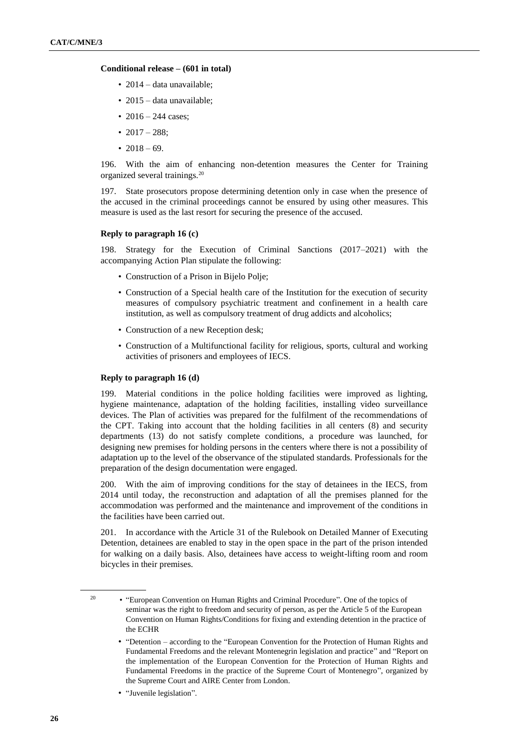# **Conditional release – (601 in total)**

- 2014 data unavailable:
- 2015 data unavailable;
- 2016 244 cases:
- $2017 288$ ;
- 2018 69.

196. With the aim of enhancing non-detention measures the Center for Training organized several trainings.<sup>20</sup>

197. State prosecutors propose determining detention only in case when the presence of the accused in the criminal proceedings cannot be ensured by using other measures. This measure is used as the last resort for securing the presence of the accused.

#### **Reply to paragraph 16 (c)**

198. Strategy for the Execution of Criminal Sanctions (2017–2021) with the accompanying Action Plan stipulate the following:

- Construction of a Prison in Bijelo Polje;
- Construction of a Special health care of the Institution for the execution of security measures of compulsory psychiatric treatment and confinement in a health care institution, as well as compulsory treatment of drug addicts and alcoholics;
- Construction of a new Reception desk;
- Construction of a Multifunctional facility for religious, sports, cultural and working activities of prisoners and employees of IECS.

# **Reply to paragraph 16 (d)**

199. Material conditions in the police holding facilities were improved as lighting, hygiene maintenance, adaptation of the holding facilities, installing video surveillance devices. The Plan of activities was prepared for the fulfilment of the recommendations of the CPT. Taking into account that the holding facilities in all centers (8) and security departments (13) do not satisfy complete conditions, a procedure was launched, for designing new premises for holding persons in the centers where there is not a possibility of adaptation up to the level of the observance of the stipulated standards. Professionals for the preparation of the design documentation were engaged.

200. With the aim of improving conditions for the stay of detainees in the IECS, from 2014 until today, the reconstruction and adaptation of all the premises planned for the accommodation was performed and the maintenance and improvement of the conditions in the facilities have been carried out.

201. In accordance with the Article 31 of the Rulebook on Detailed Manner of Executing Detention, detainees are enabled to stay in the open space in the part of the prison intended for walking on a daily basis. Also, detainees have access to weight-lifting room and room bicycles in their premises.

• "Juvenile legislation".

<sup>&</sup>lt;sup>20</sup> • "European Convention on Human Rights and Criminal Procedure". One of the topics of seminar was the right to freedom and security of person, as per the Article 5 of the European Convention on Human Rights/Conditions for fixing and extending detention in the practice of the ECHR

<sup>•</sup> "Detention – according to the "European Convention for the Protection of Human Rights and Fundamental Freedoms and the relevant Montenegrin legislation and practice" and "Report on the implementation of the European Convention for the Protection of Human Rights and Fundamental Freedoms in the practice of the Supreme Court of Montenegro", organized by the Supreme Court and AIRE Center from London.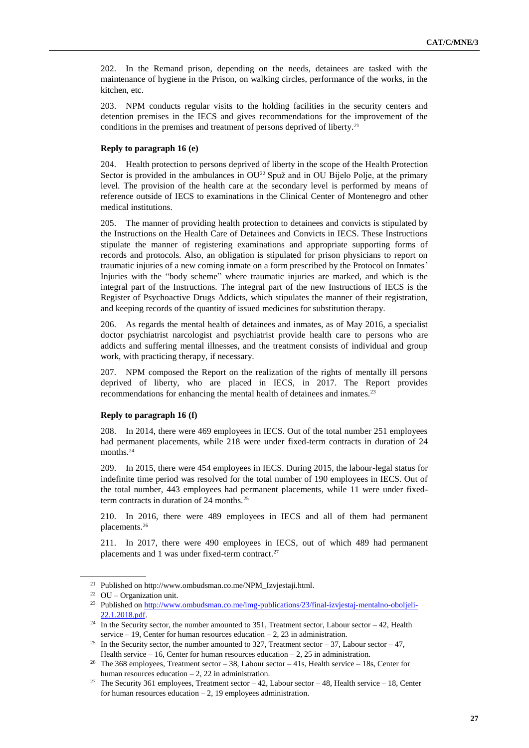202. In the Remand prison, depending on the needs, detainees are tasked with the maintenance of hygiene in the Prison, on walking circles, performance of the works, in the kitchen, etc.

203. NPM conducts regular visits to the holding facilities in the security centers and detention premises in the IECS and gives recommendations for the improvement of the conditions in the premises and treatment of persons deprived of liberty.<sup>21</sup>

#### **Reply to paragraph 16 (e)**

204. Health protection to persons deprived of liberty in the scope of the Health Protection Sector is provided in the ambulances in OU<sup>22</sup> Spuž and in OU Bijelo Polje, at the primary level. The provision of the health care at the secondary level is performed by means of reference outside of IECS to examinations in the Clinical Center of Montenegro and other medical institutions.

205. The manner of providing health protection to detainees and convicts is stipulated by the Instructions on the Health Care of Detainees and Convicts in IECS. These Instructions stipulate the manner of registering examinations and appropriate supporting forms of records and protocols. Also, an obligation is stipulated for prison physicians to report on traumatic injuries of a new coming inmate on a form prescribed by the Protocol on Inmates' Injuries with the "body scheme" where traumatic injuries are marked, and which is the integral part of the Instructions. The integral part of the new Instructions of IECS is the Register of Psychoactive Drugs Addicts, which stipulates the manner of their registration, and keeping records of the quantity of issued medicines for substitution therapy.

206. As regards the mental health of detainees and inmates, as of May 2016, a specialist doctor psychiatrist narcologist and psychiatrist provide health care to persons who are addicts and suffering mental illnesses, and the treatment consists of individual and group work, with practicing therapy, if necessary.

207. NPM composed the Report on the realization of the rights of mentally ill persons deprived of liberty, who are placed in IECS, in 2017. The Report provides recommendations for enhancing the mental health of detainees and inmates.<sup>23</sup>

#### **Reply to paragraph 16 (f)**

208. In 2014, there were 469 employees in IECS. Out of the total number 251 employees had permanent placements, while 218 were under fixed-term contracts in duration of 24 months.<sup>24</sup>

209. In 2015, there were 454 employees in IECS. During 2015, the labour-legal status for indefinite time period was resolved for the total number of 190 employees in IECS. Out of the total number, 443 employees had permanent placements, while 11 were under fixedterm contracts in duration of 24 months.<sup>25</sup>

210. In 2016, there were 489 employees in IECS and all of them had permanent placements.<sup>26</sup>

211. In 2017, there were 490 employees in IECS, out of which 489 had permanent placements and 1 was under fixed-term contract.<sup>27</sup>

<sup>21</sup> Published o[n http://www.ombudsman.co.me/NPM\\_Izvjestaji.html.](http://www.ombudsman.co.me/NPM_Izvjestaji.html)

<sup>22</sup> OU – Organization unit.

<sup>&</sup>lt;sup>23</sup> Published o[n http://www.ombudsman.co.me/img-publications/23/final-izvjestaj-mentalno-oboljeli-](http://www.ombudsman.co.me/img-publications/23/final-izvjestaj-mentalno-oboljeli-22.1.2018.pdf)[22.1.2018.pdf.](http://www.ombudsman.co.me/img-publications/23/final-izvjestaj-mentalno-oboljeli-22.1.2018.pdf)

<sup>&</sup>lt;sup>24</sup> In the Security sector, the number amounted to 351, Treatment sector, Labour sector  $-42$ , Health service  $-19$ , Center for human resources education  $-2$ , 23 in administration.

<sup>&</sup>lt;sup>25</sup> In the Security sector, the number amounted to 327, Treatment sector – 37, Labour sector – 47, Health service  $-16$ , Center for human resources education  $-2$ , 25 in administration.

<sup>&</sup>lt;sup>26</sup> The 368 employees, Treatment sector – 38, Labour sector – 41s, Health service – 18s, Center for human resources education  $-2$ , 22 in administration.

<sup>&</sup>lt;sup>27</sup> The Security 361 employees, Treatment sector  $-42$ , Labour sector  $-48$ , Health service  $-18$ , Center for human resources education  $-2$ , 19 employees administration.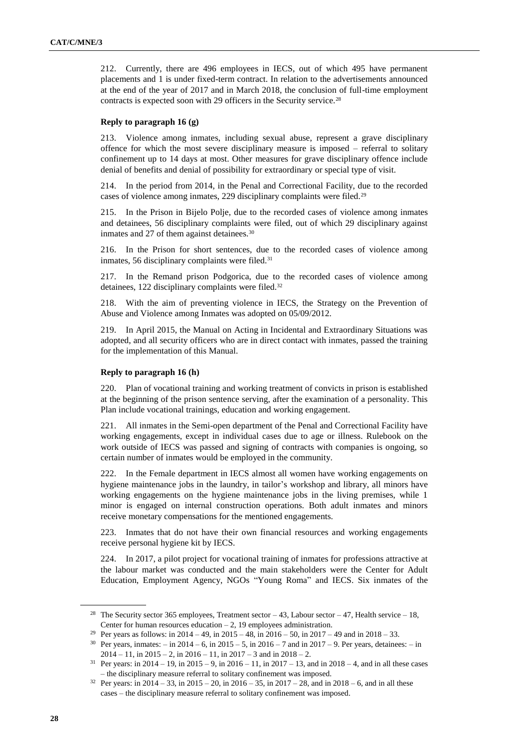212. Currently, there are 496 employees in IECS, out of which 495 have permanent placements and 1 is under fixed-term contract. In relation to the advertisements announced at the end of the year of 2017 and in March 2018, the conclusion of full-time employment contracts is expected soon with 29 officers in the Security service.<sup>28</sup>

# **Reply to paragraph 16 (g)**

213. Violence among inmates, including sexual abuse, represent a grave disciplinary offence for which the most severe disciplinary measure is imposed – referral to solitary confinement up to 14 days at most. Other measures for grave disciplinary offence include denial of benefits and denial of possibility for extraordinary or special type of visit.

214. In the period from 2014, in the Penal and Correctional Facility, due to the recorded cases of violence among inmates, 229 disciplinary complaints were filed.<sup>29</sup>

215. In the Prison in Bijelo Polje, due to the recorded cases of violence among inmates and detainees, 56 disciplinary complaints were filed, out of which 29 disciplinary against inmates and 27 of them against detainees.<sup>30</sup>

216. In the Prison for short sentences, due to the recorded cases of violence among inmates, 56 disciplinary complaints were filed.<sup>31</sup>

217. In the Remand prison Podgorica, due to the recorded cases of violence among detainees, 122 disciplinary complaints were filed.<sup>32</sup>

218. With the aim of preventing violence in IECS, the Strategy on the Prevention of Abuse and Violence among Inmates was adopted on 05/09/2012.

219. In April 2015, the Manual on Acting in Incidental and Extraordinary Situations was adopted, and all security officers who are in direct contact with inmates, passed the training for the implementation of this Manual.

#### **Reply to paragraph 16 (h)**

220. Plan of vocational training and working treatment of convicts in prison is established at the beginning of the prison sentence serving, after the examination of a personality. This Plan include vocational trainings, education and working engagement.

221. All inmates in the Semi-open department of the Penal and Correctional Facility have working engagements, except in individual cases due to age or illness. Rulebook on the work outside of IECS was passed and signing of contracts with companies is ongoing, so certain number of inmates would be employed in the community.

222. In the Female department in IECS almost all women have working engagements on hygiene maintenance jobs in the laundry, in tailor's workshop and library, all minors have working engagements on the hygiene maintenance jobs in the living premises, while 1 minor is engaged on internal construction operations. Both adult inmates and minors receive monetary compensations for the mentioned engagements.

223. Inmates that do not have their own financial resources and working engagements receive personal hygiene kit by IECS.

224. In 2017, a pilot project for vocational training of inmates for professions attractive at the labour market was conducted and the main stakeholders were the Center for Adult Education, Employment Agency, NGOs "Young Roma" and IECS. Six inmates of the

<sup>&</sup>lt;sup>28</sup> The Security sector 365 employees, Treatment sector  $-43$ , Labour sector  $-47$ , Health service  $-18$ , Center for human resources education  $-2$ , 19 employees administration.

<sup>&</sup>lt;sup>29</sup> Per years as follows: in 2014 – 49, in 2015 – 48, in 2016 – 50, in 2017 – 49 and in 2018 – 33.

<sup>&</sup>lt;sup>30</sup> Per years, inmates: – in 2014 – 6, in 2015 – 5, in 2016 – 7 and in 2017 – 9. Per years, detainees: – in  $2014 - 11$ , in  $2015 - 2$ , in  $2016 - 11$ , in  $2017 - 3$  and in  $2018 - 2$ .

<sup>&</sup>lt;sup>31</sup> Per years: in 2014 – 19, in 2015 – 9, in 2016 – 11, in 2017 – 13, and in 2018 – 4, and in all these cases – the disciplinary measure referral to solitary confinement was imposed.

<sup>&</sup>lt;sup>32</sup> Per years: in 2014 – 33, in 2015 – 20, in 2016 – 35, in 2017 – 28, and in 2018 – 6, and in all these cases – the disciplinary measure referral to solitary confinement was imposed.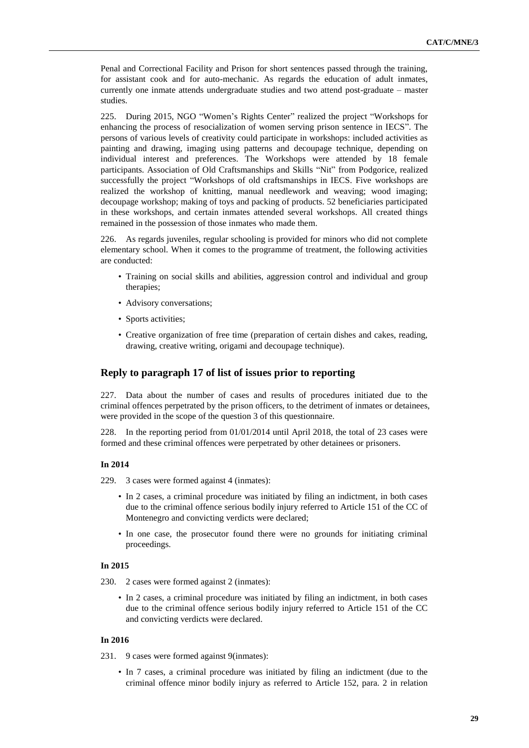Penal and Correctional Facility and Prison for short sentences passed through the training, for assistant cook and for auto-mechanic. As regards the education of adult inmates, currently one inmate attends undergraduate studies and two attend post-graduate – master studies.

225. During 2015, NGO "Women's Rights Center" realized the project "Workshops for enhancing the process of resocialization of women serving prison sentence in IECS". The persons of various levels of creativity could participate in workshops: included activities as painting and drawing, imaging using patterns and decoupage technique, depending on individual interest and preferences. The Workshops were attended by 18 female participants. Association of Old Craftsmanships and Skills "Nit" from Podgorice, realized successfully the project "Workshops of old craftsmanships in IECS. Five workshops are realized the workshop of knitting, manual needlework and weaving; wood imaging; decoupage workshop; making of toys and packing of products. 52 beneficiaries participated in these workshops, and certain inmates attended several workshops. All created things remained in the possession of those inmates who made them.

226. As regards juveniles, regular schooling is provided for minors who did not complete elementary school. When it comes to the programme of treatment, the following activities are conducted:

- Training on social skills and abilities, aggression control and individual and group therapies;
- Advisory conversations;
- Sports activities;
- Creative organization of free time (preparation of certain dishes and cakes, reading, drawing, creative writing, origami and decoupage technique).

### **Reply to paragraph 17 of list of issues prior to reporting**

227. Data about the number of cases and results of procedures initiated due to the criminal offences perpetrated by the prison officers, to the detriment of inmates or detainees, were provided in the scope of the question 3 of this questionnaire.

228. In the reporting period from 01/01/2014 until April 2018, the total of 23 cases were formed and these criminal offences were perpetrated by other detainees or prisoners.

# **In 2014**

- 229. 3 cases were formed against 4 (inmates):
	- In 2 cases, a criminal procedure was initiated by filing an indictment, in both cases due to the criminal offence serious bodily injury referred to Article 151 of the CC of Montenegro and convicting verdicts were declared;
	- In one case, the prosecutor found there were no grounds for initiating criminal proceedings.

#### **In 2015**

- 230. 2 cases were formed against 2 (inmates):
	- In 2 cases, a criminal procedure was initiated by filing an indictment, in both cases due to the criminal offence serious bodily injury referred to Article 151 of the CC and convicting verdicts were declared.

#### **In 2016**

- 231. 9 cases were formed against 9(inmates):
	- In 7 cases, a criminal procedure was initiated by filing an indictment (due to the criminal offence minor bodily injury as referred to Article 152, para. 2 in relation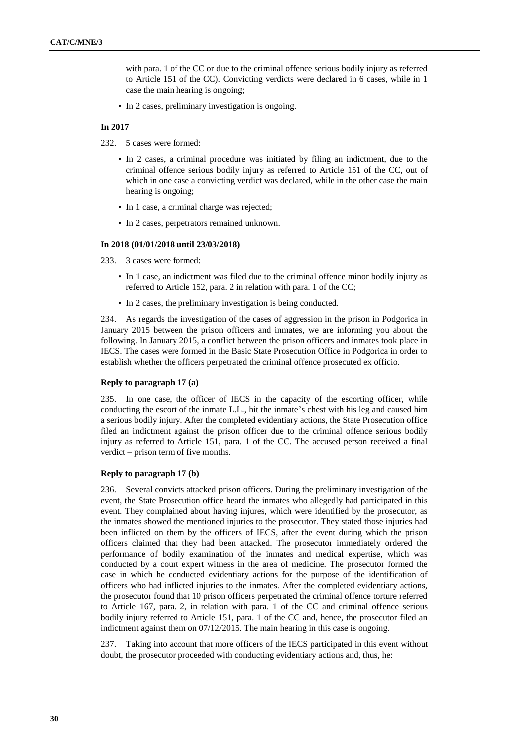with para. 1 of the CC or due to the criminal offence serious bodily injury as referred to Article 151 of the CC). Convicting verdicts were declared in 6 cases, while in 1 case the main hearing is ongoing;

• In 2 cases, preliminary investigation is ongoing.

#### **In 2017**

- 232. 5 cases were formed:
	- In 2 cases, a criminal procedure was initiated by filing an indictment, due to the criminal offence serious bodily injury as referred to Article 151 of the CC, out of which in one case a convicting verdict was declared, while in the other case the main hearing is ongoing;
	- In 1 case, a criminal charge was rejected;
	- In 2 cases, perpetrators remained unknown.

#### **In 2018 (01/01/2018 until 23/03/2018)**

- 233. 3 cases were formed:
	- In 1 case, an indictment was filed due to the criminal offence minor bodily injury as referred to Article 152, para. 2 in relation with para. 1 of the CC;
	- In 2 cases, the preliminary investigation is being conducted.

234. As regards the investigation of the cases of aggression in the prison in Podgorica in January 2015 between the prison officers and inmates, we are informing you about the following. In January 2015, a conflict between the prison officers and inmates took place in IECS. The cases were formed in the Basic State Prosecution Office in Podgorica in order to establish whether the officers perpetrated the criminal offence prosecuted ex officio.

#### **Reply to paragraph 17 (a)**

235. In one case, the officer of IECS in the capacity of the escorting officer, while conducting the escort of the inmate L.L., hit the inmate's chest with his leg and caused him a serious bodily injury. After the completed evidentiary actions, the State Prosecution office filed an indictment against the prison officer due to the criminal offence serious bodily injury as referred to Article 151, para. 1 of the CC. The accused person received a final verdict – prison term of five months.

#### **Reply to paragraph 17 (b)**

236. Several convicts attacked prison officers. During the preliminary investigation of the event, the State Prosecution office heard the inmates who allegedly had participated in this event. They complained about having injures, which were identified by the prosecutor, as the inmates showed the mentioned injuries to the prosecutor. They stated those injuries had been inflicted on them by the officers of IECS, after the event during which the prison officers claimed that they had been attacked. The prosecutor immediately ordered the performance of bodily examination of the inmates and medical expertise, which was conducted by a court expert witness in the area of medicine. The prosecutor formed the case in which he conducted evidentiary actions for the purpose of the identification of officers who had inflicted injuries to the inmates. After the completed evidentiary actions, the prosecutor found that 10 prison officers perpetrated the criminal offence torture referred to Article 167, para. 2, in relation with para. 1 of the CC and criminal offence serious bodily injury referred to Article 151, para. 1 of the CC and, hence, the prosecutor filed an indictment against them on 07/12/2015. The main hearing in this case is ongoing.

237. Taking into account that more officers of the IECS participated in this event without doubt, the prosecutor proceeded with conducting evidentiary actions and, thus, he: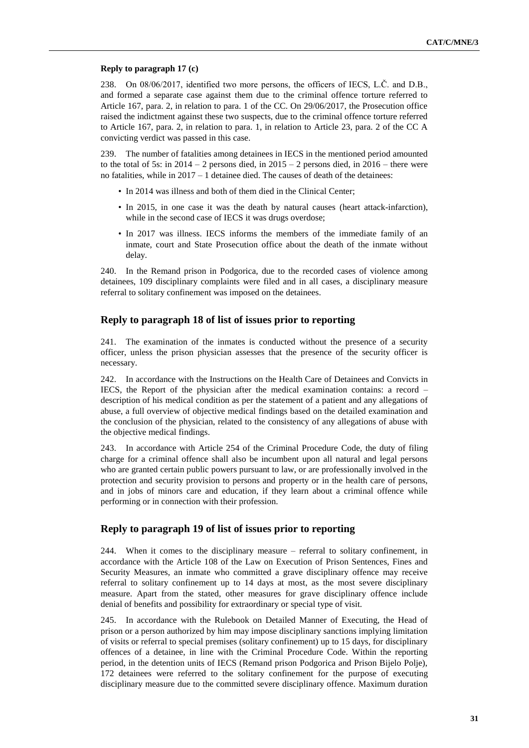#### **Reply to paragraph 17 (c)**

238. On 08/06/2017, identified two more persons, the officers of IECS, L.Č. and D.B., and formed a separate case against them due to the criminal offence torture referred to Article 167, para. 2, in relation to para. 1 of the CC. On 29/06/2017, the Prosecution office raised the indictment against these two suspects, due to the criminal offence torture referred to Article 167, para. 2, in relation to para. 1, in relation to Article 23, para. 2 of the CC A convicting verdict was passed in this case.

239. The number of fatalities among detainees in IECS in the mentioned period amounted to the total of 5s: in  $2014 - 2$  persons died, in  $2015 - 2$  persons died, in  $2016$  – there were no fatalities, while in  $2017 - 1$  detainee died. The causes of death of the detainees:

- In 2014 was illness and both of them died in the Clinical Center;
- In 2015, in one case it was the death by natural causes (heart attack-infarction), while in the second case of IECS it was drugs overdose;
- In 2017 was illness. IECS informs the members of the immediate family of an inmate, court and State Prosecution office about the death of the inmate without delay.

240. In the Remand prison in Podgorica, due to the recorded cases of violence among detainees, 109 disciplinary complaints were filed and in all cases, a disciplinary measure referral to solitary confinement was imposed on the detainees.

# **Reply to paragraph 18 of list of issues prior to reporting**

241. The examination of the inmates is conducted without the presence of a security officer, unless the prison physician assesses that the presence of the security officer is necessary.

242. In accordance with the Instructions on the Health Care of Detainees and Convicts in IECS, the Report of the physician after the medical examination contains: a record – description of his medical condition as per the statement of a patient and any allegations of abuse, a full overview of objective medical findings based on the detailed examination and the conclusion of the physician, related to the consistency of any allegations of abuse with the objective medical findings.

243. In accordance with Article 254 of the Criminal Procedure Code, the duty of filing charge for a criminal offence shall also be incumbent upon all natural and legal persons who are granted certain public powers pursuant to law, or are professionally involved in the protection and security provision to persons and property or in the health care of persons, and in jobs of minors care and education, if they learn about a criminal offence while performing or in connection with their profession.

# **Reply to paragraph 19 of list of issues prior to reporting**

244. When it comes to the disciplinary measure – referral to solitary confinement, in accordance with the Article 108 of the Law on Execution of Prison Sentences, Fines and Security Measures, an inmate who committed a grave disciplinary offence may receive referral to solitary confinement up to 14 days at most, as the most severe disciplinary measure. Apart from the stated, other measures for grave disciplinary offence include denial of benefits and possibility for extraordinary or special type of visit.

245. In accordance with the Rulebook on Detailed Manner of Executing, the Head of prison or a person authorized by him may impose disciplinary sanctions implying limitation of visits or referral to special premises (solitary confinement) up to 15 days, for disciplinary offences of a detainee, in line with the Criminal Procedure Code. Within the reporting period, in the detention units of IECS (Remand prison Podgorica and Prison Bijelo Polje), 172 detainees were referred to the solitary confinement for the purpose of executing disciplinary measure due to the committed severe disciplinary offence. Maximum duration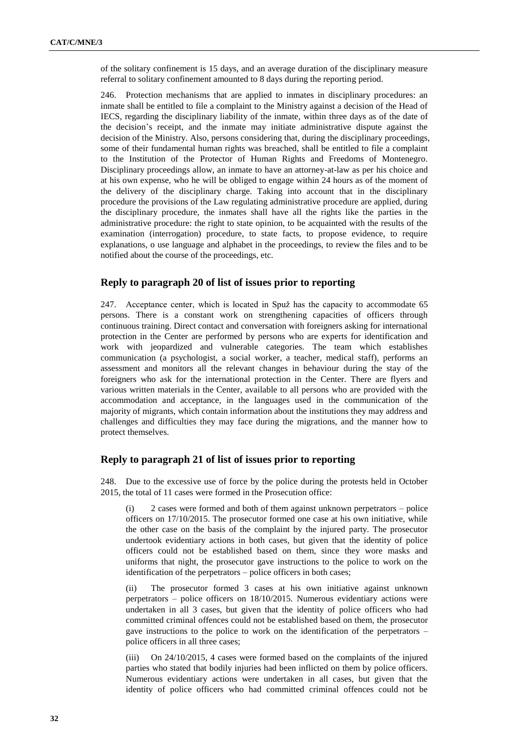of the solitary confinement is 15 days, and an average duration of the disciplinary measure referral to solitary confinement amounted to 8 days during the reporting period.

246. Protection mechanisms that are applied to inmates in disciplinary procedures: an inmate shall be entitled to file a complaint to the Ministry against a decision of the Head of IECS, regarding the disciplinary liability of the inmate, within three days as of the date of the decision's receipt, and the inmate may initiate administrative dispute against the decision of the Ministry. Also, persons considering that, during the disciplinary proceedings, some of their fundamental human rights was breached, shall be entitled to file a complaint to the Institution of the Protector of Human Rights and Freedoms of Montenegro. Disciplinary proceedings allow, an inmate to have an attorney-at-law as per his choice and at his own expense, who he will be obliged to engage within 24 hours as of the moment of the delivery of the disciplinary charge. Taking into account that in the disciplinary procedure the provisions of the Law regulating administrative procedure are applied, during the disciplinary procedure, the inmates shall have all the rights like the parties in the administrative procedure: the right to state opinion, to be acquainted with the results of the examination (interrogation) procedure, to state facts, to propose evidence, to require explanations, o use language and alphabet in the proceedings, to review the files and to be notified about the course of the proceedings, etc.

# **Reply to paragraph 20 of list of issues prior to reporting**

247. Acceptance center, which is located in Spuž has the capacity to accommodate 65 persons. There is a constant work on strengthening capacities of officers through continuous training. Direct contact and conversation with foreigners asking for international protection in the Center are performed by persons who are experts for identification and work with jeopardized and vulnerable categories. The team which establishes communication (a psychologist, a social worker, a teacher, medical staff), performs an assessment and monitors all the relevant changes in behaviour during the stay of the foreigners who ask for the international protection in the Center. There are flyers and various written materials in the Center, available to all persons who are provided with the accommodation and acceptance, in the languages used in the communication of the majority of migrants, which contain information about the institutions they may address and challenges and difficulties they may face during the migrations, and the manner how to protect themselves.

# **Reply to paragraph 21 of list of issues prior to reporting**

248. Due to the excessive use of force by the police during the protests held in October 2015, the total of 11 cases were formed in the Prosecution office:

(i) 2 cases were formed and both of them against unknown perpetrators – police officers on 17/10/2015. The prosecutor formed one case at his own initiative, while the other case on the basis of the complaint by the injured party. The prosecutor undertook evidentiary actions in both cases, but given that the identity of police officers could not be established based on them, since they wore masks and uniforms that night, the prosecutor gave instructions to the police to work on the identification of the perpetrators – police officers in both cases;

(ii) The prosecutor formed 3 cases at his own initiative against unknown perpetrators – police officers on 18/10/2015. Numerous evidentiary actions were undertaken in all 3 cases, but given that the identity of police officers who had committed criminal offences could not be established based on them, the prosecutor gave instructions to the police to work on the identification of the perpetrators – police officers in all three cases;

(iii) On 24/10/2015, 4 cases were formed based on the complaints of the injured parties who stated that bodily injuries had been inflicted on them by police officers. Numerous evidentiary actions were undertaken in all cases, but given that the identity of police officers who had committed criminal offences could not be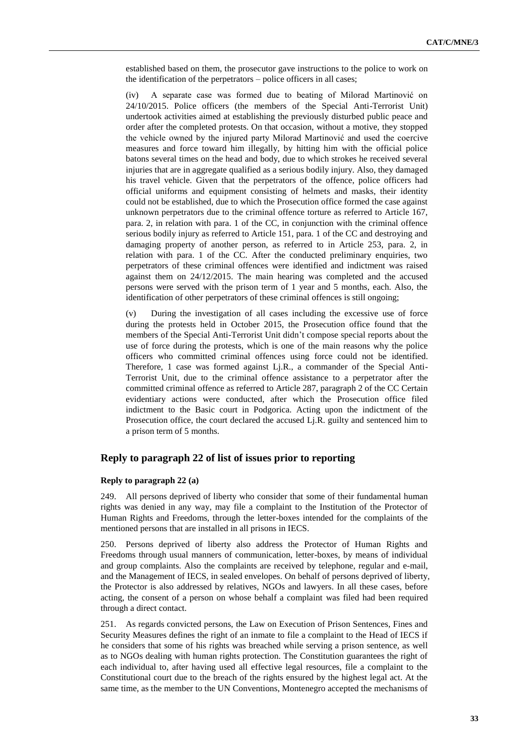established based on them, the prosecutor gave instructions to the police to work on the identification of the perpetrators – police officers in all cases;

(iv) A separate case was formed due to beating of Milorad Martinović on 24/10/2015. Police officers (the members of the Special Anti-Terrorist Unit) undertook activities aimed at establishing the previously disturbed public peace and order after the completed protests. On that occasion, without a motive, they stopped the vehicle owned by the injured party Milorad Martinović and used the coercive measures and force toward him illegally, by hitting him with the official police batons several times on the head and body, due to which strokes he received several injuries that are in aggregate qualified as a serious bodily injury. Also, they damaged his travel vehicle. Given that the perpetrators of the offence, police officers had official uniforms and equipment consisting of helmets and masks, their identity could not be established, due to which the Prosecution office formed the case against unknown perpetrators due to the criminal offence torture as referred to Article 167, para. 2, in relation with para. 1 of the CC, in conjunction with the criminal offence serious bodily injury as referred to Article 151, para. 1 of the CC and destroying and damaging property of another person, as referred to in Article 253, para. 2, in relation with para. 1 of the CC. After the conducted preliminary enquiries, two perpetrators of these criminal offences were identified and indictment was raised against them on 24/12/2015. The main hearing was completed and the accused persons were served with the prison term of 1 year and 5 months, each. Also, the identification of other perpetrators of these criminal offences is still ongoing;

During the investigation of all cases including the excessive use of force during the protests held in October 2015, the Prosecution office found that the members of the Special Anti-Terrorist Unit didn't compose special reports about the use of force during the protests, which is one of the main reasons why the police officers who committed criminal offences using force could not be identified. Therefore, 1 case was formed against Lj.R., a commander of the Special Anti-Terrorist Unit, due to the criminal offence assistance to a perpetrator after the committed criminal offence as referred to Article 287, paragraph 2 of the CC Certain evidentiary actions were conducted, after which the Prosecution office filed indictment to the Basic court in Podgorica. Acting upon the indictment of the Prosecution office, the court declared the accused Lj.R. guilty and sentenced him to a prison term of 5 months.

# **Reply to paragraph 22 of list of issues prior to reporting**

#### **Reply to paragraph 22 (a)**

249. All persons deprived of liberty who consider that some of their fundamental human rights was denied in any way, may file a complaint to the Institution of the Protector of Human Rights and Freedoms, through the letter-boxes intended for the complaints of the mentioned persons that are installed in all prisons in IECS.

250. Persons deprived of liberty also address the Protector of Human Rights and Freedoms through usual manners of communication, letter-boxes, by means of individual and group complaints. Also the complaints are received by telephone, regular and e-mail, and the Management of IECS, in sealed envelopes. On behalf of persons deprived of liberty, the Protector is also addressed by relatives, NGOs and lawyers. In all these cases, before acting, the consent of a person on whose behalf a complaint was filed had been required through a direct contact.

251. As regards convicted persons, the Law on Execution of Prison Sentences, Fines and Security Measures defines the right of an inmate to file a complaint to the Head of IECS if he considers that some of his rights was breached while serving a prison sentence, as well as to NGOs dealing with human rights protection. The Constitution guarantees the right of each individual to, after having used all effective legal resources, file a complaint to the Constitutional court due to the breach of the rights ensured by the highest legal act. At the same time, as the member to the UN Conventions, Montenegro accepted the mechanisms of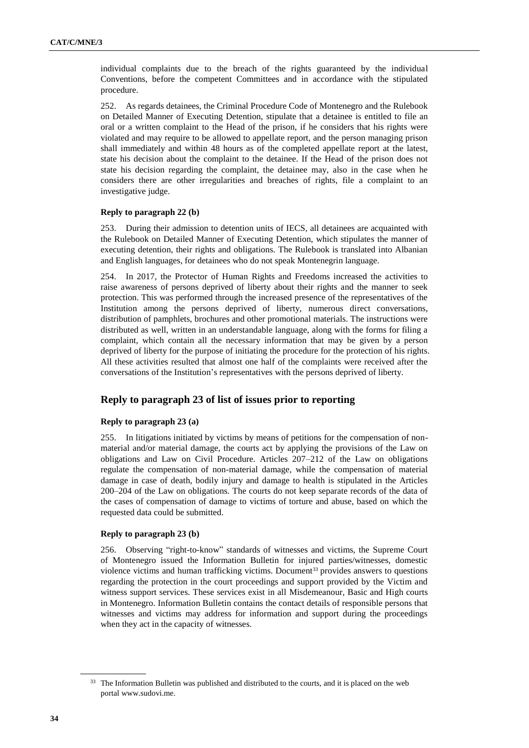individual complaints due to the breach of the rights guaranteed by the individual Conventions, before the competent Committees and in accordance with the stipulated procedure.

252. As regards detainees, the Criminal Procedure Code of Montenegro and the Rulebook on Detailed Manner of Executing Detention, stipulate that a detainee is entitled to file an oral or a written complaint to the Head of the prison, if he considers that his rights were violated and may require to be allowed to appellate report, and the person managing prison shall immediately and within 48 hours as of the completed appellate report at the latest, state his decision about the complaint to the detainee. If the Head of the prison does not state his decision regarding the complaint, the detainee may, also in the case when he considers there are other irregularities and breaches of rights, file a complaint to an investigative judge.

# **Reply to paragraph 22 (b)**

253. During their admission to detention units of IECS, all detainees are acquainted with the Rulebook on Detailed Manner of Executing Detention, which stipulates the manner of executing detention, their rights and obligations. The Rulebook is translated into Albanian and English languages, for detainees who do not speak Montenegrin language.

254. In 2017, the Protector of Human Rights and Freedoms increased the activities to raise awareness of persons deprived of liberty about their rights and the manner to seek protection. This was performed through the increased presence of the representatives of the Institution among the persons deprived of liberty, numerous direct conversations, distribution of pamphlets, brochures and other promotional materials. The instructions were distributed as well, written in an understandable language, along with the forms for filing a complaint, which contain all the necessary information that may be given by a person deprived of liberty for the purpose of initiating the procedure for the protection of his rights. All these activities resulted that almost one half of the complaints were received after the conversations of the Institution's representatives with the persons deprived of liberty.

# **Reply to paragraph 23 of list of issues prior to reporting**

# **Reply to paragraph 23 (a)**

255. In litigations initiated by victims by means of petitions for the compensation of nonmaterial and/or material damage, the courts act by applying the provisions of the Law on obligations and Law on Civil Procedure. Articles 207–212 of the Law on obligations regulate the compensation of non-material damage, while the compensation of material damage in case of death, bodily injury and damage to health is stipulated in the Articles 200–204 of the Law on obligations. The courts do not keep separate records of the data of the cases of compensation of damage to victims of torture and abuse, based on which the requested data could be submitted.

# **Reply to paragraph 23 (b)**

256. Observing "right-to-know" standards of witnesses and victims, the Supreme Court of Montenegro issued the Information Bulletin for injured parties/witnesses, domestic violence victims and human trafficking victims. Document<sup>33</sup> provides answers to questions regarding the protection in the court proceedings and support provided by the Victim and witness support services. These services exist in all Misdemeanour, Basic and High courts in Montenegro. Information Bulletin contains the contact details of responsible persons that witnesses and victims may address for information and support during the proceedings when they act in the capacity of witnesses.

<sup>&</sup>lt;sup>33</sup> The Information Bulletin was published and distributed to the courts, and it is placed on the web porta[l www.sudovi.me.](http://www.sudovi.me/)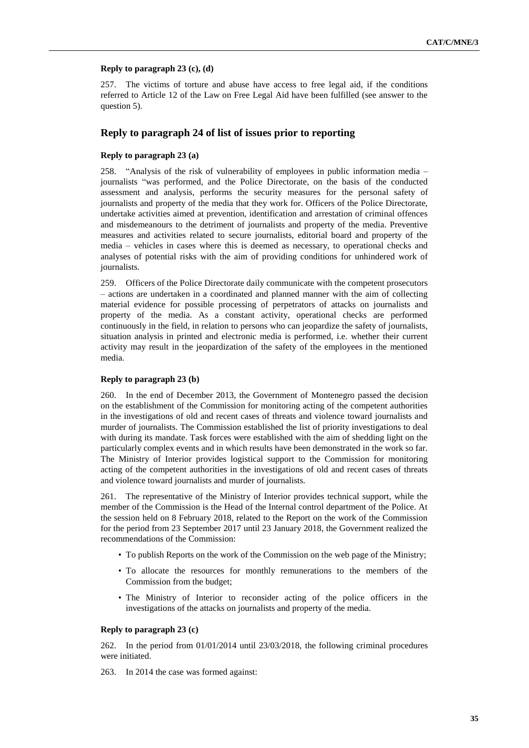### **Reply to paragraph 23 (c), (d)**

257. The victims of torture and abuse have access to free legal aid, if the conditions referred to Article 12 of the Law on Free Legal Aid have been fulfilled (see answer to the question 5).

# **Reply to paragraph 24 of list of issues prior to reporting**

# **Reply to paragraph 23 (a)**

258. "Analysis of the risk of vulnerability of employees in public information media – journalists "was performed, and the Police Directorate, on the basis of the conducted assessment and analysis, performs the security measures for the personal safety of journalists and property of the media that they work for. Officers of the Police Directorate, undertake activities aimed at prevention, identification and arrestation of criminal offences and misdemeanours to the detriment of journalists and property of the media. Preventive measures and activities related to secure journalists, editorial board and property of the media – vehicles in cases where this is deemed as necessary, to operational checks and analyses of potential risks with the aim of providing conditions for unhindered work of journalists.

259. Officers of the Police Directorate daily communicate with the competent prosecutors – actions are undertaken in a coordinated and planned manner with the aim of collecting material evidence for possible processing of perpetrators of attacks on journalists and property of the media. As a constant activity, operational checks are performed continuously in the field, in relation to persons who can jeopardize the safety of journalists, situation analysis in printed and electronic media is performed, i.e. whether their current activity may result in the jeopardization of the safety of the employees in the mentioned media.

# **Reply to paragraph 23 (b)**

260. In the end of December 2013, the Government of Montenegro passed the decision on the establishment of the Commission for monitoring acting of the competent authorities in the investigations of old and recent cases of threats and violence toward journalists and murder of journalists. The Commission established the list of priority investigations to deal with during its mandate. Task forces were established with the aim of shedding light on the particularly complex events and in which results have been demonstrated in the work so far. The Ministry of Interior provides logistical support to the Commission for monitoring acting of the competent authorities in the investigations of old and recent cases of threats and violence toward journalists and murder of journalists.

261. The representative of the Ministry of Interior provides technical support, while the member of the Commission is the Head of the Internal control department of the Police. At the session held on 8 February 2018, related to the Report on the work of the Commission for the period from 23 September 2017 until 23 January 2018, the Government realized the recommendations of the Commission:

- To publish Reports on the work of the Commission on the web page of the Ministry;
- To allocate the resources for monthly remunerations to the members of the Commission from the budget;
- The Ministry of Interior to reconsider acting of the police officers in the investigations of the attacks on journalists and property of the media.

### **Reply to paragraph 23 (c)**

262. In the period from 01/01/2014 until 23/03/2018, the following criminal procedures were initiated.

263. In 2014 the case was formed against: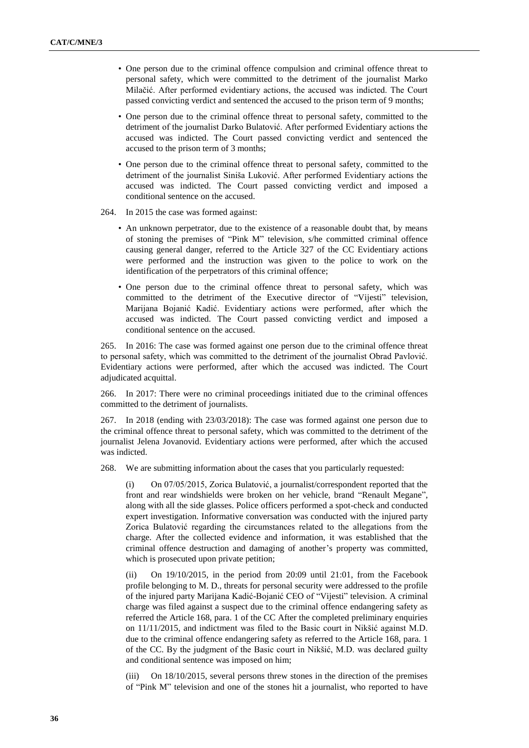- One person due to the criminal offence compulsion and criminal offence threat to personal safety, which were committed to the detriment of the journalist Marko Milačić. After performed evidentiary actions, the accused was indicted. The Court passed convicting verdict and sentenced the accused to the prison term of 9 months;
- One person due to the criminal offence threat to personal safety, committed to the detriment of the journalist Darko Bulatović. After performed Evidentiary actions the accused was indicted. The Court passed convicting verdict and sentenced the accused to the prison term of 3 months;
- One person due to the criminal offence threat to personal safety, committed to the detriment of the journalist Siniša Luković. After performed Evidentiary actions the accused was indicted. The Court passed convicting verdict and imposed a conditional sentence on the accused.
- 264. In 2015 the case was formed against:
	- An unknown perpetrator, due to the existence of a reasonable doubt that, by means of stoning the premises of "Pink M" television, s/he committed criminal offence causing general danger, referred to the Article 327 of the CC Evidentiary actions were performed and the instruction was given to the police to work on the identification of the perpetrators of this criminal offence;
	- One person due to the criminal offence threat to personal safety, which was committed to the detriment of the Executive director of "Vijesti" television, Marijana Bojanić Kadić. Evidentiary actions were performed, after which the accused was indicted. The Court passed convicting verdict and imposed a conditional sentence on the accused.

265. In 2016: The case was formed against one person due to the criminal offence threat to personal safety, which was committed to the detriment of the journalist Obrad Pavlović. Evidentiary actions were performed, after which the accused was indicted. The Court adjudicated acquittal.

266. In 2017: There were no criminal proceedings initiated due to the criminal offences committed to the detriment of journalists.

267. In 2018 (ending with 23/03/2018): The case was formed against one person due to the criminal offence threat to personal safety, which was committed to the detriment of the journalist Jelena Jovanovid. Evidentiary actions were performed, after which the accused was indicted.

268. We are submitting information about the cases that you particularly requested:

(i) On 07/05/2015, Zorica Bulatović, a journalist/correspondent reported that the front and rear windshields were broken on her vehicle, brand "Renault Megane", along with all the side glasses. Police officers performed a spot-check and conducted expert investigation. Informative conversation was conducted with the injured party Zorica Bulatović regarding the circumstances related to the allegations from the charge. After the collected evidence and information, it was established that the criminal offence destruction and damaging of another's property was committed, which is prosecuted upon private petition;

On  $19/10/2015$ , in the period from 20:09 until 21:01, from the Facebook profile belonging to M. D., threats for personal security were addressed to the profile of the injured party Marijana Kadić-Bojanić CEO of "Vijesti" television. A criminal charge was filed against a suspect due to the criminal offence endangering safety as referred the Article 168, para. 1 of the CC After the completed preliminary enquiries on 11/11/2015, and indictment was filed to the Basic court in Nikšić against M.D. due to the criminal offence endangering safety as referred to the Article 168, para. 1 of the CC. By the judgment of the Basic court in Nikšić, M.D. was declared guilty and conditional sentence was imposed on him;

(iii) On 18/10/2015, several persons threw stones in the direction of the premises of "Pink M" television and one of the stones hit a journalist, who reported to have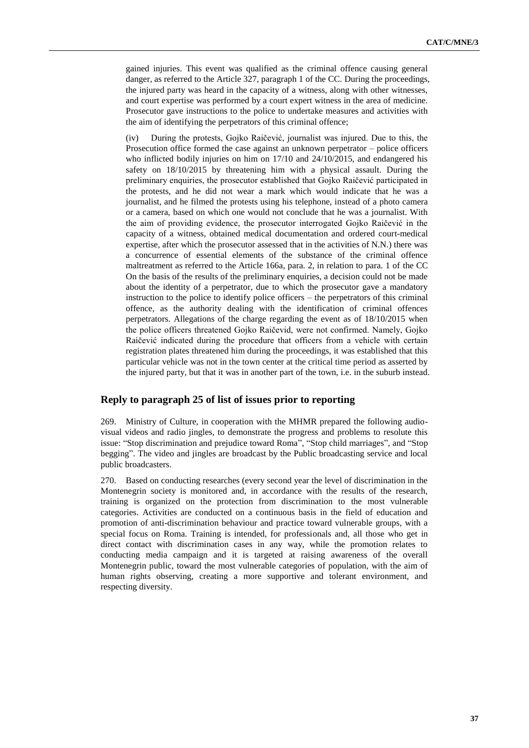gained injuries. This event was qualified as the criminal offence causing general danger, as referred to the Article 327, paragraph 1 of the CC. During the proceedings, the injured party was heard in the capacity of a witness, along with other witnesses, and court expertise was performed by a court expert witness in the area of medicine. Prosecutor gave instructions to the police to undertake measures and activities with the aim of identifying the perpetrators of this criminal offence;

(iv) During the protests, Gojko Raičević, journalist was injured. Due to this, the Prosecution office formed the case against an unknown perpetrator – police officers who inflicted bodily injuries on him on 17/10 and 24/10/2015, and endangered his safety on 18/10/2015 by threatening him with a physical assault. During the preliminary enquiries, the prosecutor established that Gojko Raičević participated in the protests, and he did not wear a mark which would indicate that he was a journalist, and he filmed the protests using his telephone, instead of a photo camera or a camera, based on which one would not conclude that he was a journalist. With the aim of providing evidence, the prosecutor interrogated Gojko Raičević in the capacity of a witness, obtained medical documentation and ordered court-medical expertise, after which the prosecutor assessed that in the activities of N.N.) there was a concurrence of essential elements of the substance of the criminal offence maltreatment as referred to the Article 166a, para. 2, in relation to para. 1 of the CC On the basis of the results of the preliminary enquiries, a decision could not be made about the identity of a perpetrator, due to which the prosecutor gave a mandatory instruction to the police to identify police officers – the perpetrators of this criminal offence, as the authority dealing with the identification of criminal offences perpetrators. Allegations of the charge regarding the event as of 18/10/2015 when the police officers threatened Gojko Raičevid, were not confirmed. Namely, Gojko Raičević indicated during the procedure that officers from a vehicle with certain registration plates threatened him during the proceedings, it was established that this particular vehicle was not in the town center at the critical time period as asserted by the injured party, but that it was in another part of the town, i.e. in the suburb instead.

# **Reply to paragraph 25 of list of issues prior to reporting**

269. Ministry of Culture, in cooperation with the MHMR prepared the following audiovisual videos and radio jingles, to demonstrate the progress and problems to resolute this issue: "Stop discrimination and prejudice toward Roma", "Stop child marriages", and "Stop begging". The video and jingles are broadcast by the Public broadcasting service and local public broadcasters.

270. Based on conducting researches (every second year the level of discrimination in the Montenegrin society is monitored and, in accordance with the results of the research, training is organized on the protection from discrimination to the most vulnerable categories. Activities are conducted on a continuous basis in the field of education and promotion of anti-discrimination behaviour and practice toward vulnerable groups, with a special focus on Roma. Training is intended, for professionals and, all those who get in direct contact with discrimination cases in any way, while the promotion relates to conducting media campaign and it is targeted at raising awareness of the overall Montenegrin public, toward the most vulnerable categories of population, with the aim of human rights observing, creating a more supportive and tolerant environment, and respecting diversity.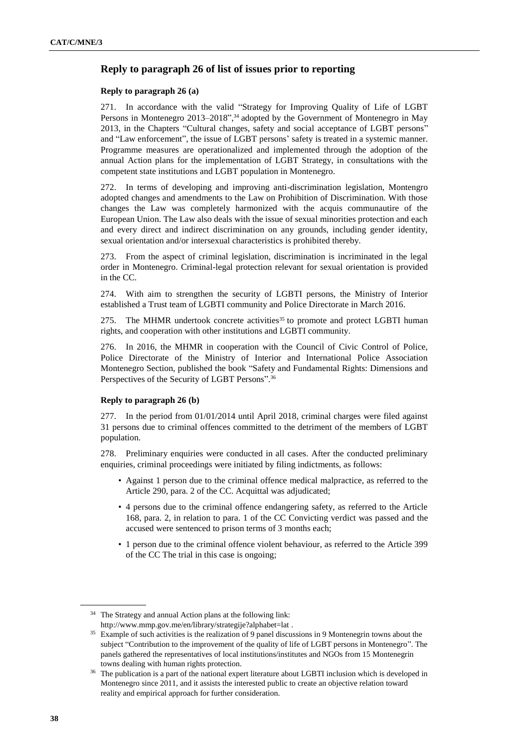# **Reply to paragraph 26 of list of issues prior to reporting**

# **Reply to paragraph 26 (a)**

271. In accordance with the valid "Strategy for Improving Quality of Life of LGBT Persons in Montenegro 2013–2018", <sup>34</sup> adopted by the Government of Montenegro in May 2013, in the Chapters "Cultural changes, safety and social acceptance of LGBT persons" and "Law enforcement", the issue of LGBT persons' safety is treated in a systemic manner. Programme measures are operationalized and implemented through the adoption of the annual Action plans for the implementation of LGBT Strategy, in consultations with the competent state institutions and LGBT population in Montenegro.

272. In terms of developing and improving anti-discrimination legislation, Montengro adopted changes and amendments to the Law on Prohibition of Discrimination. With those changes the Law was completely harmonized with the acquis communautire of the European Union. The Law also deals with the issue of sexual minorities protection and each and every direct and indirect discrimination on any grounds, including gender identity, sexual orientation and/or intersexual characteristics is prohibited thereby.

273. From the aspect of criminal legislation, discrimination is incriminated in the legal order in Montenegro. Criminal-legal protection relevant for sexual orientation is provided in the CC.

274. With aim to strengthen the security of LGBTI persons, the Ministry of Interior established a Trust team of LGBTI community and Police Directorate in March 2016.

275. The MHMR undertook concrete activities<sup>35</sup> to promote and protect LGBTI human rights, and cooperation with other institutions and LGBTI community.

276. In 2016, the MHMR in cooperation with the Council of Civic Control of Police, Police Directorate of the Ministry of Interior and International Police Association Montenegro Section, published the book "Safety and Fundamental Rights: Dimensions and Perspectives of the Security of LGBT Persons".<sup>36</sup>

# **Reply to paragraph 26 (b)**

277. In the period from 01/01/2014 until April 2018, criminal charges were filed against 31 persons due to criminal offences committed to the detriment of the members of LGBT population.

278. Preliminary enquiries were conducted in all cases. After the conducted preliminary enquiries, criminal proceedings were initiated by filing indictments, as follows:

- Against 1 person due to the criminal offence medical malpractice, as referred to the Article 290, para. 2 of the CC. Acquittal was adjudicated;
- 4 persons due to the criminal offence endangering safety, as referred to the Article 168, para. 2, in relation to para. 1 of the CC Convicting verdict was passed and the accused were sentenced to prison terms of 3 months each;
- 1 person due to the criminal offence violent behaviour, as referred to the Article 399 of the CC The trial in this case is ongoing;

<sup>&</sup>lt;sup>34</sup> The Strategy and annual Action plans at the following link: <http://www.mmp.gov.me/en/library/strategije?alphabet=lat> .

<sup>&</sup>lt;sup>35</sup> Example of such activities is the realization of 9 panel discussions in 9 Montenegrin towns about the subject "Contribution to the improvement of the quality of life of LGBT persons in Montenegro". The panels gathered the representatives of local institutions/institutes and NGOs from 15 Montenegrin towns dealing with human rights protection.

<sup>&</sup>lt;sup>36</sup> The publication is a part of the national expert literature about LGBTI inclusion which is developed in Montenegro since 2011, and it assists the interested public to create an objective relation toward reality and empirical approach for further consideration.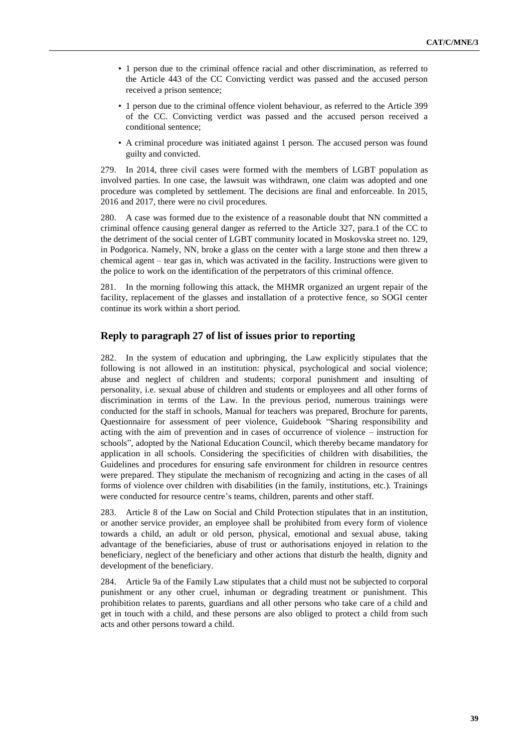- 1 person due to the criminal offence racial and other discrimination, as referred to the Article 443 of the CC Convicting verdict was passed and the accused person received a prison sentence;
- 1 person due to the criminal offence violent behaviour, as referred to the Article 399 of the CC. Convicting verdict was passed and the accused person received a conditional sentence;
- A criminal procedure was initiated against 1 person. The accused person was found guilty and convicted.

279. In 2014, three civil cases were formed with the members of LGBT population as involved parties. In one case, the lawsuit was withdrawn, one claim was adopted and one procedure was completed by settlement. The decisions are final and enforceable. In 2015, 2016 and 2017, there were no civil procedures.

280. A case was formed due to the existence of a reasonable doubt that NN committed a criminal offence causing general danger as referred to the Article 327, para.1 of the CC to the detriment of the social center of LGBT community located in Moskovska street no. 129, in Podgorica. Namely, NN, broke a glass on the center with a large stone and then threw a chemical agent – tear gas in, which was activated in the facility. Instructions were given to the police to work on the identification of the perpetrators of this criminal offence.

281. In the morning following this attack, the MHMR organized an urgent repair of the facility, replacement of the glasses and installation of a protective fence, so SOGI center continue its work within a short period.

# **Reply to paragraph 27 of list of issues prior to reporting**

282. In the system of education and upbringing, the Law explicitly stipulates that the following is not allowed in an institution: physical, psychological and social violence; abuse and neglect of children and students; corporal punishment and insulting of personality, i.e. sexual abuse of children and students or employees and all other forms of discrimination in terms of the Law. In the previous period, numerous trainings were conducted for the staff in schools, Manual for teachers was prepared, Brochure for parents, Questionnaire for assessment of peer violence, Guidebook "Sharing responsibility and acting with the aim of prevention and in cases of occurrence of violence – instruction for schools", adopted by the National Education Council, which thereby became mandatory for application in all schools. Considering the specificities of children with disabilities, the Guidelines and procedures for ensuring safe environment for children in resource centres were prepared. They stipulate the mechanism of recognizing and acting in the cases of all forms of violence over children with disabilities (in the family, institutions, etc.). Trainings were conducted for resource centre's teams, children, parents and other staff.

283. Article 8 of the Law on Social and Child Protection stipulates that in an institution, or another service provider, an employee shall be prohibited from every form of violence towards a child, an adult or old person, physical, emotional and sexual abuse, taking advantage of the beneficiaries, abuse of trust or authorisations enjoyed in relation to the beneficiary, neglect of the beneficiary and other actions that disturb the health, dignity and development of the beneficiary.

284. Article 9a of the Family Law stipulates that a child must not be subjected to corporal punishment or any other cruel, inhuman or degrading treatment or punishment. This prohibition relates to parents, guardians and all other persons who take care of a child and get in touch with a child, and these persons are also obliged to protect a child from such acts and other persons toward a child.